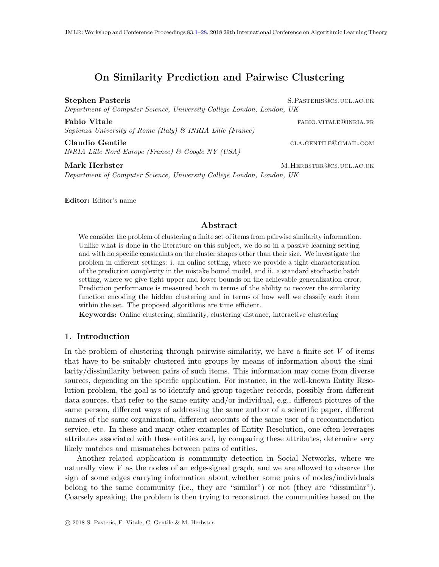# <span id="page-0-0"></span>On Similarity Prediction and Pairwise Clustering

Stephen Pasteris S.PASTERIS@CS.UCL.AC.UK Department of Computer Science, University College London, London, UK

**Fabio Vitale** fabio.vitale fabio.vitale fabio.vitale fabio.vitale fabio.vitale fabio.vitale fabio.vitale fabio.v Sapienza University of Rome (Italy) & INRIA Lille (France)

Claudio Gentile class class class class class class class class class class class class class community class community class community class community class community class community class community class community class INRIA Lille Nord Europe (France) & Google NY (USA)

Mark Herbster M.HERBSTER GCS.UCL.AC.UK Department of Computer Science, University College London, London, UK

Editor: Editor's name

## Abstract

We consider the problem of clustering a finite set of items from pairwise similarity information. Unlike what is done in the literature on this subject, we do so in a passive learning setting, and with no specific constraints on the cluster shapes other than their size. We investigate the problem in different settings: i. an online setting, where we provide a tight characterization of the prediction complexity in the mistake bound model, and ii. a standard stochastic batch setting, where we give tight upper and lower bounds on the achievable generalization error. Prediction performance is measured both in terms of the ability to recover the similarity function encoding the hidden clustering and in terms of how well we classify each item within the set. The proposed algorithms are time efficient.

Keywords: Online clustering, similarity, clustering distance, interactive clustering

## 1. Introduction

In the problem of clustering through pairwise similarity, we have a finite set  $V$  of items that have to be suitably clustered into groups by means of information about the similarity/dissimilarity between pairs of such items. This information may come from diverse sources, depending on the specific application. For instance, in the well-known Entity Resolution problem, the goal is to identify and group together records, possibly from different data sources, that refer to the same entity and/or individual, e.g., different pictures of the same person, different ways of addressing the same author of a scientific paper, different names of the same organization, different accounts of the same user of a recommendation service, etc. In these and many other examples of Entity Resolution, one often leverages attributes associated with these entities and, by comparing these attributes, determine very likely matches and mismatches between pairs of entities.

Another related application is community detection in Social Networks, where we naturally view  $V$  as the nodes of an edge-signed graph, and we are allowed to observe the sign of some edges carrying information about whether some pairs of nodes/individuals belong to the same community (i.e., they are "similar") or not (they are "dissimilar"). Coarsely speaking, the problem is then trying to reconstruct the communities based on the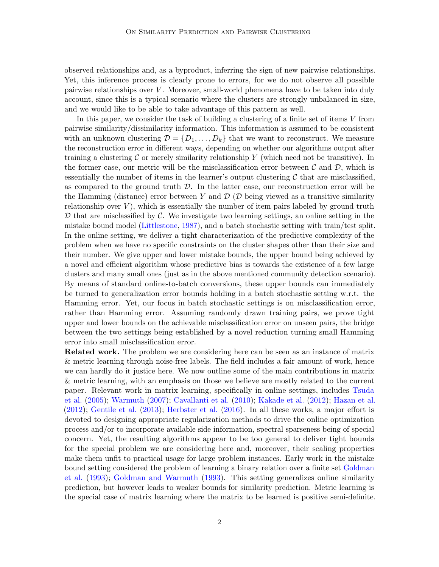observed relationships and, as a byproduct, inferring the sign of new pairwise relationships. Yet, this inference process is clearly prone to errors, for we do not observe all possible pairwise relationships over  $V$ . Moreover, small-world phenomena have to be taken into duly account, since this is a typical scenario where the clusters are strongly unbalanced in size, and we would like to be able to take advantage of this pattern as well.

In this paper, we consider the task of building a clustering of a finite set of items V from pairwise similarity/dissimilarity information. This information is assumed to be consistent with an unknown clustering  $\mathcal{D} = \{D_1, \ldots, D_k\}$  that we want to reconstruct. We measure the reconstruction error in different ways, depending on whether our algorithms output after training a clustering  $\mathcal C$  or merely similarity relationship Y (which need not be transitive). In the former case, our metric will be the misclassification error between  $\mathcal C$  and  $\mathcal D$ , which is essentially the number of items in the learner's output clustering  $\mathcal C$  that are misclassified, as compared to the ground truth  $\mathcal{D}$ . In the latter case, our reconstruction error will be the Hamming (distance) error between Y and  $\mathcal{D}$  ( $\mathcal{D}$  being viewed as a transitive similarity relationship over  $V$ ), which is essentially the number of item pairs labeled by ground truth  $D$  that are misclassified by  $C$ . We investigate two learning settings, an online setting in the mistake bound model [\(Littlestone,](#page-14-0) [1987\)](#page-14-0), and a batch stochastic setting with train/test split. In the online setting, we deliver a tight characterization of the predictive complexity of the problem when we have no specific constraints on the cluster shapes other than their size and their number. We give upper and lower mistake bounds, the upper bound being achieved by a novel and efficient algorithm whose predictive bias is towards the existence of a few large clusters and many small ones (just as in the above mentioned community detection scenario). By means of standard online-to-batch conversions, these upper bounds can immediately be turned to generalization error bounds holding in a batch stochastic setting w.r.t. the Hamming error. Yet, our focus in batch stochastic settings is on misclassification error, rather than Hamming error. Assuming randomly drawn training pairs, we prove tight upper and lower bounds on the achievable misclassification error on unseen pairs, the bridge between the two settings being established by a novel reduction turning small Hamming error into small misclassification error.

Related work. The problem we are considering here can be seen as an instance of matrix & metric learning through noise-free labels. The field includes a fair amount of work, hence we can hardly do it justice here. We now outline some of the main contributions in matrix & metric learning, with an emphasis on those we believe are mostly related to the current paper. Relevant work in matrix learning, specifically in online settings, includes [Tsuda](#page-14-1) [et al.](#page-14-1) [\(2005\)](#page-14-1); [Warmuth](#page-14-2) [\(2007\)](#page-14-2); [Cavallanti et al.](#page-13-0) [\(2010\)](#page-13-0); [Kakade et al.](#page-13-1) [\(2012\)](#page-13-1); [Hazan et al.](#page-13-2) [\(2012\)](#page-13-2); [Gentile et al.](#page-13-3) [\(2013\)](#page-13-3); [Herbster et al.](#page-13-4) [\(2016\)](#page-13-4). In all these works, a major effort is devoted to designing appropriate regularization methods to drive the online optimization process and/or to incorporate available side information, spectral sparseness being of special concern. Yet, the resulting algorithms appear to be too general to deliver tight bounds for the special problem we are considering here and, moreover, their scaling properties make them unfit to practical usage for large problem instances. Early work in the mistake bound setting considered the problem of learning a binary relation over a finite set [Goldman](#page-13-5) [et al.](#page-13-5) [\(1993\)](#page-13-5); [Goldman and Warmuth](#page-13-6) [\(1993\)](#page-13-6). This setting generalizes online similarity prediction, but however leads to weaker bounds for similarity prediction. Metric learning is the special case of matrix learning where the matrix to be learned is positive semi-definite.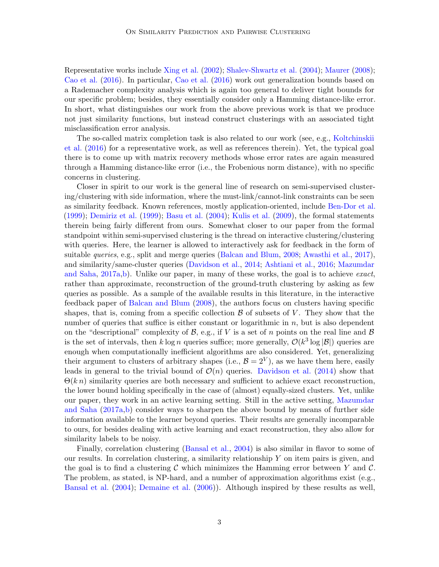Representative works include [Xing et al.](#page-14-3) [\(2002\)](#page-14-3); [Shalev-Shwartz et al.](#page-14-4) [\(2004\)](#page-14-4); [Maurer](#page-14-5) [\(2008\)](#page-14-5); [Cao et al.](#page-13-7) [\(2016\)](#page-13-7). In particular, [Cao et al.](#page-13-7) [\(2016\)](#page-13-7) work out generalization bounds based on a Rademacher complexity analysis which is again too general to deliver tight bounds for our specific problem; besides, they essentially consider only a Hamming distance-like error. In short, what distinguishes our work from the above previous work is that we produce not just similarity functions, but instead construct clusterings with an associated tight misclassification error analysis.

The so-called matrix completion task is also related to our work (see, e.g., [Koltchinskii](#page-14-6) [et al.](#page-14-6) [\(2016\)](#page-14-6) for a representative work, as well as references therein). Yet, the typical goal there is to come up with matrix recovery methods whose error rates are again measured through a Hamming distance-like error (i.e., the Frobenious norm distance), with no specific concerns in clustering.

Closer in spirit to our work is the general line of research on semi-supervised clustering/clustering with side information, where the must-link/cannot-link constraints can be seen as similarity feedback. Known references, mostly application-oriented, include [Ben-Dor et al.](#page-13-8) [\(1999\)](#page-13-8); [Demiriz et al.](#page-13-9) [\(1999\)](#page-13-9); [Basu et al.](#page-13-10) [\(2004\)](#page-13-10); [Kulis et al.](#page-14-7) [\(2009\)](#page-14-7), the formal statements therein being fairly different from ours. Somewhat closer to our paper from the formal standpoint within semi-supervised clustering is the thread on interactive clustering/clustering with queries. Here, the learner is allowed to interactively ask for feedback in the form of suitable *queries*, e.g., split and merge queries [\(Balcan and Blum,](#page-12-0) [2008;](#page-12-0) [Awasthi et al.,](#page-12-1) [2017\)](#page-12-1), and similarity/same-cluster queries [\(Davidson et al.,](#page-13-11) [2014;](#page-13-11) [Ashtiani et al.,](#page-12-2) [2016;](#page-12-2) [Mazumdar](#page-14-8) [and Saha,](#page-14-8)  $2017a,b$  $2017a,b$ . Unlike our paper, in many of these works, the goal is to achieve *exact*, rather than approximate, reconstruction of the ground-truth clustering by asking as few queries as possible. As a sample of the available results in this literature, in the interactive feedback paper of [Balcan and Blum](#page-12-0) [\(2008\)](#page-12-0), the authors focus on clusters having specific shapes, that is, coming from a specific collection  $\beta$  of subsets of V. They show that the number of queries that suffice is either constant or logarithmic in  $n$ , but is also dependent on the "descriptional" complexity of  $\mathcal{B}$ , e.g., if V is a set of n points on the real line and  $\mathcal{B}$ is the set of intervals, then  $k \log n$  queries suffice; more generally,  $\mathcal{O}(k^3 \log |\mathcal{B}|)$  queries are enough when computationally inefficient algorithms are also considered. Yet, generalizing their argument to clusters of arbitrary shapes (i.e.,  $\mathcal{B} = 2^V$ ), as we have them here, easily leads in general to the trivial bound of  $\mathcal{O}(n)$  queries. [Davidson et al.](#page-13-11) [\(2014\)](#page-13-11) show that  $\Theta(k n)$  similarity queries are both necessary and sufficient to achieve exact reconstruction, the lower bound holding specifically in the case of (almost) equally-sized clusters. Yet, unlike our paper, they work in an active learning setting. Still in the active setting, [Mazumdar](#page-14-8) [and Saha](#page-14-8) [\(2017a,](#page-14-8)[b\)](#page-14-9) consider ways to sharpen the above bound by means of further side information available to the learner beyond queries. Their results are generally incomparable to ours, for besides dealing with active learning and exact reconstruction, they also allow for similarity labels to be noisy.

Finally, correlation clustering [\(Bansal et al.,](#page-12-3) [2004\)](#page-12-3) is also similar in flavor to some of our results. In correlation clustering, a similarity relationship Y on item pairs is given, and the goal is to find a clustering C which minimizes the Hamming error between Y and C. The problem, as stated, is NP-hard, and a number of approximation algorithms exist (e.g., [Bansal et al.](#page-12-3) [\(2004\)](#page-12-3); [Demaine et al.](#page-13-12) [\(2006\)](#page-13-12)). Although inspired by these results as well,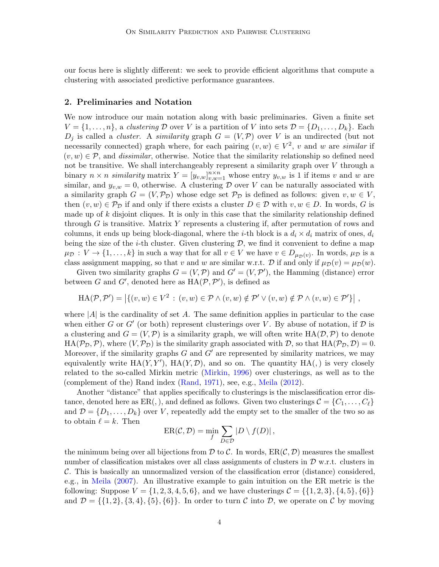our focus here is slightly different: we seek to provide efficient algorithms that compute a clustering with associated predictive performance guarantees.

## <span id="page-3-0"></span>2. Preliminaries and Notation

We now introduce our main notation along with basic preliminaries. Given a finite set  $V = \{1, \ldots, n\}$ , a clustering D over V is a partition of V into sets  $\mathcal{D} = \{D_1, \ldots, D_k\}$ . Each  $D_i$  is called a *cluster*. A *similarity* graph  $G = (V, \mathcal{P})$  over V is an undirected (but not necessarily connected) graph where, for each pairing  $(v, w) \in V^2$ , v and w are similar if  $(v, w) \in \mathcal{P}$ , and *dissimilar*, otherwise. Notice that the similarity relationship so defined need not be transitive. We shall interchangeably represent a similarity graph over V through a binary  $n \times n$  similarity matrix  $Y = [y_{v,w}]_{v,w=1}^{n \times n}$  whose entry  $y_{v,w}$  is 1 if items v and w are similar, and  $y_{v,w} = 0$ , otherwise. A clustering D over V can be naturally associated with a similarity graph  $G = (V, \mathcal{P}_D)$  whose edge set  $\mathcal{P}_D$  is defined as follows: given  $v, w \in V$ , then  $(v, w) \in \mathcal{P}_{\mathcal{D}}$  if and only if there exists a cluster  $D \in \mathcal{D}$  with  $v, w \in D$ . In words, G is made up of  $k$  disjoint cliques. It is only in this case that the similarity relationship defined through  $G$  is transitive. Matrix Y represents a clustering if, after permutation of rows and columns, it ends up being block-diagonal, where the *i*-th block is a  $d_i \times d_i$  matrix of ones,  $d_i$ being the size of the *i*-th cluster. Given clustering  $D$ , we find it convenient to define a map  $\mu_{\mathcal{D}}: V \to \{1, \ldots, k\}$  in such a way that for all  $v \in V$  we have  $v \in D_{\mu_{\mathcal{D}}(v)}$ . In words,  $\mu_{\mathcal{D}}$  is a class assignment mapping, so that v and w are similar w.r.t. D if and only if  $\mu_{\mathcal{D}}(v) = \mu_{\mathcal{D}}(w)$ .

Given two similarity graphs  $G = (V, \mathcal{P})$  and  $G' = (V, \mathcal{P}')$ , the Hamming (distance) error between G and G', denoted here as  $HA(\mathcal{P}, \mathcal{P}')$ , is defined as

$$
HA(\mathcal{P}, \mathcal{P}') = \left| \{ (v, w) \in V^2 : (v, w) \in \mathcal{P} \land (v, w) \notin \mathcal{P}' \lor (v, w) \notin \mathcal{P} \land (v, w) \in \mathcal{P}' \} \right|,
$$

where  $|A|$  is the cardinality of set A. The same definition applies in particular to the case when either G or G' (or both) represent clusterings over V. By abuse of notation, if  $D$  is a clustering and  $G = (V, \mathcal{P})$  is a similarity graph, we will often write  $HA(\mathcal{D}, \mathcal{P})$  to denote  $HA(\mathcal{P}_{\mathcal{D}},\mathcal{P})$ , where  $(V,\mathcal{P}_{\mathcal{D}})$  is the similarity graph associated with  $\mathcal{D}$ , so that  $HA(\mathcal{P}_{\mathcal{D}},\mathcal{D})=0$ . Moreover, if the similarity graphs  $G$  and  $G'$  are represented by similarity matrices, we may equivalently write  $HA(Y, Y')$ ,  $HA(Y, \mathcal{D})$ , and so on. The quantity  $HA(.)$  is very closely related to the so-called Mirkin metric [\(Mirkin,](#page-14-10) [1996\)](#page-14-10) over clusterings, as well as to the (complement of the) Rand index [\(Rand,](#page-14-11) [1971\)](#page-14-11), see, e.g., [Meila](#page-14-12) [\(2012\)](#page-14-12).

Another "distance" that applies specifically to clusterings is the misclassification error distance, denoted here as  $ER($ ,  $)$ , and defined as follows. Given two clusterings  $\mathcal{C} = \{C_1, \ldots, C_\ell\}$ and  $\mathcal{D} = \{D_1, \ldots, D_k\}$  over V, repeatedly add the empty set to the smaller of the two so as to obtain  $\ell = k$ . Then

$$
ER(\mathcal{C}, \mathcal{D}) = \min_{f} \sum_{D \in \mathcal{D}} |D \setminus f(D)|,
$$

the minimum being over all bijections from  $\mathcal D$  to  $\mathcal C$ . In words,  $\text{ER}(\mathcal C,\mathcal D)$  measures the smallest number of classification mistakes over all class assignments of clusters in  $\mathcal D$  w.r.t. clusters in C. This is basically an unnormalized version of the classification error (distance) considered, e.g., in [Meila](#page-14-13) [\(2007\)](#page-14-13). An illustrative example to gain intuition on the ER metric is the following: Suppose  $V = \{1, 2, 3, 4, 5, 6\}$ , and we have clusterings  $C = \{\{1, 2, 3\}, \{4, 5\}, \{6\}\}\$ and  $\mathcal{D} = \{\{1, 2\}, \{3, 4\}, \{5\}, \{6\}\}\.$  In order to turn C into D, we operate on C by moving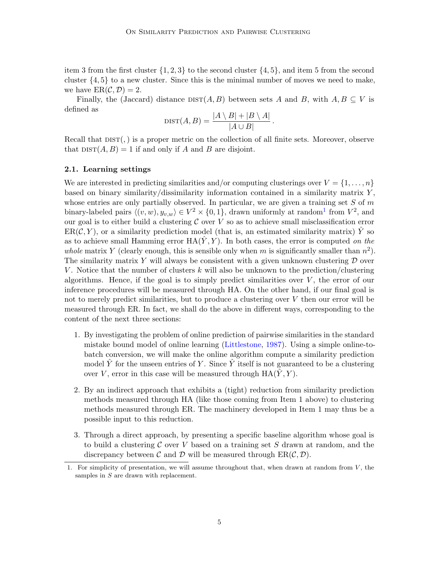item 3 from the first cluster  $\{1, 2, 3\}$  to the second cluster  $\{4, 5\}$ , and item 5 from the second cluster  $\{4, 5\}$  to a new cluster. Since this is the minimal number of moves we need to make, we have  $ER(\mathcal{C}, \mathcal{D}) = 2$ .

Finally, the (Jaccard) distance  $\text{DIST}(A, B)$  between sets A and B, with  $A, B \subseteq V$  is defined as

$$
\text{DIST}(A, B) = \frac{|A \setminus B| + |B \setminus A|}{|A \cup B|}.
$$

Recall that  $DIST($ ,) is a proper metric on the collection of all finite sets. Moreover, observe that  $dist(A, B) = 1$  if and only if A and B are disjoint.

#### 2.1. Learning settings

We are interested in predicting similarities and/or computing clusterings over  $V = \{1, \ldots, n\}$ based on binary similarity/dissimilarity information contained in a similarity matrix  $Y$ , whose entries are only partially observed. In particular, we are given a training set  $S$  of m binary-labeled pairs  $\langle (v, w), y_{v,w} \rangle \in V^2 \times \{0, 1\}$  $\langle (v, w), y_{v,w} \rangle \in V^2 \times \{0, 1\}$  $\langle (v, w), y_{v,w} \rangle \in V^2 \times \{0, 1\}$ , drawn uniformly at random<sup>1</sup> from  $V^2$ , and our goal is to either build a clustering  $C$  over  $V$  so as to achieve small misclassification error  $ER(\mathcal{C}, Y)$ , or a similarity prediction model (that is, an estimated similarity matrix) Y so as to achieve small Hamming error  $HA(Y, Y)$ . In both cases, the error is computed on the whole matrix Y (clearly enough, this is sensible only when m is significantly smaller than  $n^2$ ). The similarity matrix Y will always be consistent with a given unknown clustering  $\mathcal D$  over V. Notice that the number of clusters k will also be unknown to the prediction/clustering algorithms. Hence, if the goal is to simply predict similarities over  $V$ , the error of our inference procedures will be measured through HA. On the other hand, if our final goal is not to merely predict similarities, but to produce a clustering over V then our error will be measured through ER. In fact, we shall do the above in different ways, corresponding to the content of the next three sections:

- 1. By investigating the problem of online prediction of pairwise similarities in the standard mistake bound model of online learning [\(Littlestone,](#page-14-0) [1987\)](#page-14-0). Using a simple online-tobatch conversion, we will make the online algorithm compute a similarity prediction model  $\hat{Y}$  for the unseen entries of Y. Since  $\hat{Y}$  itself is not guaranteed to be a clustering over V, error in this case will be measured through  $HA(\hat{Y}, Y)$ .
- 2. By an indirect approach that exhibits a (tight) reduction from similarity prediction methods measured through HA (like those coming from Item 1 above) to clustering methods measured through ER. The machinery developed in Item 1 may thus be a possible input to this reduction.
- 3. Through a direct approach, by presenting a specific baseline algorithm whose goal is to build a clustering  $\mathcal C$  over V based on a training set S drawn at random, and the discrepancy between C and D will be measured through  $ER(\mathcal{C}, \mathcal{D})$ .

<span id="page-4-0"></span><sup>1.</sup> For simplicity of presentation, we will assume throughout that, when drawn at random from  $V$ , the samples in S are drawn with replacement.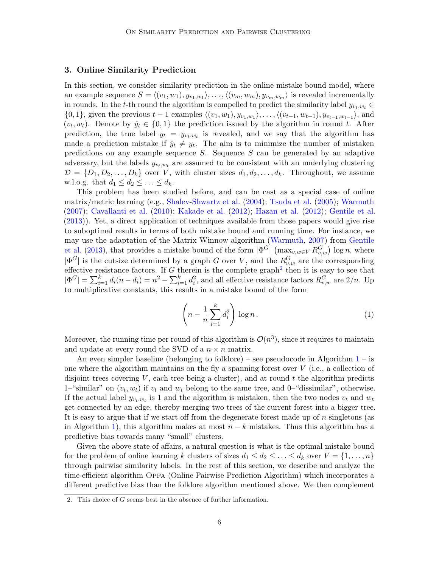## <span id="page-5-2"></span>3. Online Similarity Prediction

In this section, we consider similarity prediction in the online mistake bound model, where an example sequence  $S = \langle (v_1, w_1), y_{v_1, w_1} \rangle, \dots, \langle (v_m, w_m), y_{v_m, w_m} \rangle$  is revealed incrementally in rounds. In the t-th round the algorithm is compelled to predict the similarity label  $y_{v_t,w_t} \in$  $\{0, 1\}$ , given the previous  $t-1$  examples  $\langle (v_1, w_1), y_{v_1, w_1} \rangle, \ldots, \langle (v_{t-1}, w_{t-1}), y_{v_{t-1}, w_{t-1}} \rangle$ , and  $(v_t, w_t)$ . Denote by  $\hat{y}_t \in \{0, 1\}$  the prediction issued by the algorithm in round t. After prediction, the true label  $y_t = y_{v_t,w_t}$  is revealed, and we say that the algorithm has made a prediction mistake if  $\hat{y}_t \neq y_t$ . The aim is to minimize the number of mistaken predictions on any example sequence  $S$ . Sequence  $S$  can be generated by an adaptive adversary, but the labels  $y_{v_t,w_t}$  are assumed to be consistent with an underlying clustering  $\mathcal{D} = \{D_1, D_2, \ldots, D_k\}$  over V, with cluster sizes  $d_1, d_2, \ldots, d_k$ . Throughout, we assume w.l.o.g. that  $d_1 \leq d_2 \leq \ldots \leq d_k$ .

This problem has been studied before, and can be cast as a special case of online matrix/metric learning (e.g., [Shalev-Shwartz et al.](#page-14-4) [\(2004\)](#page-14-4); [Tsuda et al.](#page-14-1) [\(2005\)](#page-14-1); [Warmuth](#page-14-2) [\(2007\)](#page-14-2); [Cavallanti et al.](#page-13-0) [\(2010\)](#page-13-0); [Kakade et al.](#page-13-1) [\(2012\)](#page-13-1); [Hazan et al.](#page-13-2) [\(2012\)](#page-13-2); [Gentile et al.](#page-13-3) [\(2013\)](#page-13-3)). Yet, a direct application of techniques available from those papers would give rise to suboptimal results in terms of both mistake bound and running time. For instance, we may use the adaptation of the Matrix Winnow algorithm [\(Warmuth,](#page-14-2) [2007\)](#page-14-2) from [Gentile](#page-13-3) [et al.](#page-13-3) [\(2013\)](#page-13-3), that provides a mistake bound of the form  $|\Phi^G|$   $(\max_{v,w\in V} R_{v,w}^G)$  log n, where  $|\Phi^G|$  is the cutsize determined by a graph G over V, and the  $R_{v,w}^G$  are the corresponding effective resistance factors. If G therein is the complete graph<sup>[2](#page-5-0)</sup> then it is easy to see that  $|\Phi^G| = \sum_{i=1}^k d_i (n - d_i) = n^2 - \sum_{i=1}^k d_i^2$ , and all effective resistance factors  $R_{v,w}^G$  are  $2/n$ . Up to multiplicative constants, this results in a mistake bound of the form

<span id="page-5-1"></span>
$$
\left(n - \frac{1}{n} \sum_{i=1}^{k} d_i^2\right) \log n. \tag{1}
$$

Moreover, the running time per round of this algorithm is  $\mathcal{O}(n^3)$ , since it requires to maintain and update at every round the SVD of a  $n \times n$  matrix.

An even simpler baseline (belonging to folklore) – see pseudocode in Algorithm  $1 1 -$  is one where the algorithm maintains on the fly a spanning forest over  $V$  (i.e., a collection of disjoint trees covering  $V$ , each tree being a cluster), and at round  $t$  the algorithm predicts 1–"similar" on  $(v_t, w_t)$  if  $v_t$  and  $w_t$  belong to the same tree, and 0–"dissimilar", otherwise. If the actual label  $y_{v_t,w_t}$  is 1 and the algorithm is mistaken, then the two nodes  $v_t$  and  $w_t$ get connected by an edge, thereby merging two trees of the current forest into a bigger tree. It is easy to argue that if we start off from the degenerate forest made up of  $n$  singletons (as in Algorithm [1\)](#page-6-0), this algorithm makes at most  $n - k$  mistakes. Thus this algorithm has a predictive bias towards many "small" clusters.

Given the above state of affairs, a natural question is what is the optimal mistake bound for the problem of online learning k clusters of sizes  $d_1 \leq d_2 \leq \ldots \leq d_k$  over  $V = \{1, \ldots, n\}$ through pairwise similarity labels. In the rest of this section, we describe and analyze the time-efficient algorithm Oppa (Online Pairwise Prediction Algorithm) which incorporates a different predictive bias than the folklore algorithm mentioned above. We then complement

<span id="page-5-0"></span><sup>2.</sup> This choice of G seems best in the absence of further information.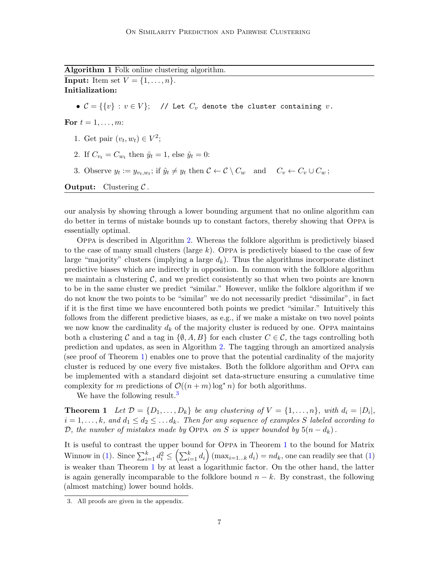Algorithm 1 Folk online clustering algorithm. **Input:** Item set  $V = \{1, \ldots, n\}.$ Initialization: •  $C = \{ \{v\} : v \in V \};$  // Let  $C_v$  denote the cluster containing v. For  $t = 1, \ldots, m$ : 1. Get pair  $(v_t, w_t) \in V^2$ ; 2. If  $C_{v_t} = C_{w_t}$  then  $\hat{y}_t = 1$ , else  $\hat{y}_t = 0$ : 3. Observe  $y_t := y_{v_t,w_t}$ ; if  $\hat{y}_t \neq y_t$  then  $C \leftarrow C \setminus C_w$  and  $C_v \leftarrow C_v \cup C_w$ ; **Output:** Clustering  $C$ .

<span id="page-6-0"></span>our analysis by showing through a lower bounding argument that no online algorithm can do better in terms of mistake bounds up to constant factors, thereby showing that Oppa is essentially optimal.

Oppa is described in Algorithm [2.](#page-7-0) Whereas the folklore algorithm is predictively biased to the case of many small clusters (large  $k$ ). Oppa is predictively biased to the case of few large "majority" clusters (implying a large  $d_k$ ). Thus the algorithms incorporate distinct predictive biases which are indirectly in opposition. In common with the folklore algorithm we maintain a clustering  $\mathcal{C}$ , and we predict consistently so that when two points are known to be in the same cluster we predict "similar." However, unlike the folklore algorithm if we do not know the two points to be "similar" we do not necessarily predict "dissimilar", in fact if it is the first time we have encountered both points we predict "similar." Intuitively this follows from the different predictive biases, as e.g., if we make a mistake on two novel points we now know the cardinality  $d_k$  of the majority cluster is reduced by one. Oppa maintains both a clustering C and a tag in  $\{\emptyset, A, B\}$  for each cluster  $C \in \mathcal{C}$ , the tags controlling both prediction and updates, as seen in Algorithm [2.](#page-7-0) The tagging through an amortized analysis (see proof of Theorem [1\)](#page-6-1) enables one to prove that the potential cardinality of the majority cluster is reduced by one every five mistakes. Both the folklore algorithm and Oppa can be implemented with a standard disjoint set data-structure ensuring a cumulative time complexity for m predictions of  $\mathcal{O}((n+m) \log^* n)$  for both algorithms.

<span id="page-6-1"></span>We have the following result.<sup>[3](#page-6-2)</sup>

**Theorem 1** Let  $\mathcal{D} = \{D_1, \ldots, D_k\}$  be any clustering of  $V = \{1, \ldots, n\}$ , with  $d_i = |D_i|$ ,  $i = 1, \ldots, k$ , and  $d_1 \leq d_2 \leq \ldots d_k$ . Then for any sequence of examples S labeled according to D, the number of mistakes made by OPPA on S is upper bounded by  $5(n - d_k)$ .

It is useful to contrast the upper bound for Oppa in Theorem [1](#page-6-1) to the bound for Matrix Winnow in [\(1\)](#page-5-1). Since  $\sum_{i=1}^k d_i^2 \leq (\sum_{i=1}^k d_i)$  (max<sub>i=1,0</sub>, di) = nd<sub>k</sub>, one can readily see that (1) is weaker than Theorem [1](#page-6-1) by at least a logarithmic factor. On the other hand, the latter is again generally incomparable to the folklore bound  $n - k$ . By constrast, the following (almost matching) lower bound holds.

<span id="page-6-3"></span><span id="page-6-2"></span><sup>3.</sup> All proofs are given in the appendix.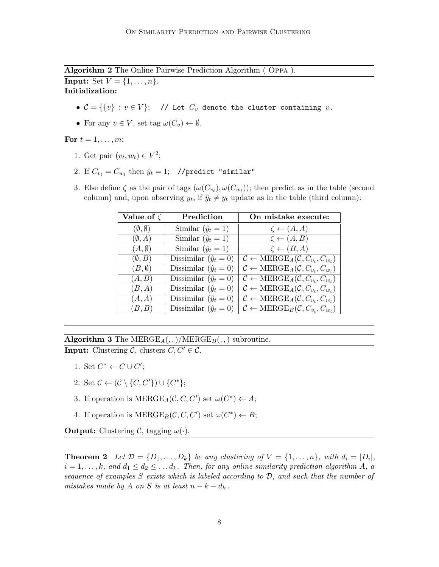Algorithm 2 The Online Pairwise Prediction Algorithm ( Oppa ).

<span id="page-7-0"></span>**Input:** Set  $V = \{1, ..., n\}$ . Initialization:

- $C = \{ \{v\} : v \in V \};$  // Let  $C_v$  denote the cluster containing  $v$ .
- For any  $v \in V$ , set tag  $\omega(C_v) \leftarrow \emptyset$ .

For  $t = 1, \ldots, m$ :

- 1. Get pair  $(v_t, w_t) \in V^2$ ;
- 2. If  $C_{v_t} = C_{w_t}$  then  $\hat{y}_t = 1$ ; //predict "similar"
- 3. Else define  $\zeta$  as the pair of tags  $(\omega(C_{v_t}), \omega(C_{w_t}))$ ; then predict as in the table (second column) and, upon observing  $y_t$ , if  $\hat{y}_t \neq y_t$  update as in the table (third column):

| Value of $\zeta$         | Prediction                   | On mistake execute:                                                    |
|--------------------------|------------------------------|------------------------------------------------------------------------|
| $(\emptyset, \emptyset)$ | Similar $(\hat{y}_t = 1)$    | $\zeta \leftarrow (A, A)$                                              |
| $(\emptyset, A)$         | Similar $(\hat{y}_t = 1)$    | $\zeta \leftarrow (A, B)$                                              |
| $(A, \emptyset)$         | Similar $(\hat{y}_t = 1)$    | $\zeta \leftarrow (B, A)$                                              |
| $(\emptyset, B)$         | Dissimilar $(\hat{y}_t = 0)$ | $\mathcal{C} \leftarrow \text{MERGE}_A(\mathcal{C}, C_{v_t}, C_{w_t})$ |
| $(B, \emptyset)$         | Dissimilar $(\hat{y}_t = 0)$ | $\mathcal{C} \leftarrow \text{MERGE}_A(\mathcal{C}, C_{v_t}, C_{w_t})$ |
| (A, B)                   | Dissimilar $(\hat{y}_t = 0)$ | $\mathcal{C} \leftarrow \text{MERGE}_A(\mathcal{C}, C_{v_t}, C_{w_t})$ |
| (B, A)                   | Dissimilar $(\hat{y}_t = 0)$ | $C \leftarrow \text{MERGE}_A(C, C_{v_t}, C_{w_t})$                     |
| (A, A)                   | Dissimilar $(\hat{y}_t = 0)$ | $\overline{C} \leftarrow \text{MERGE}_A(C, C_{v_t}, C_{w_t})$          |
| (B, B)                   | Dissimilar $(\hat{y}_t = 0)$ | $C \leftarrow \text{MERGE}_B(C, C_{v_t}, C_{w_t})$                     |

Algorithm 3 The  $MERGE_A(,,)/MERGE_B(,,)$  subroutine. **Input:** Clustering C, clusters  $C, C' \in \mathcal{C}$ .

- 1. Set  $C^* \leftarrow C \cup C';$
- 2. Set  $\mathcal{C} \leftarrow (\mathcal{C} \setminus \{C, C'\}) \cup \{C^*\};$
- 3. If operation is  $MERGE_A(C, C, C')$  set  $\omega(C^*) \leftarrow A;$
- 4. If operation is  $MERGE_B(C, C, C')$  set  $\omega(C^*) \leftarrow B;$

**Output:** Clustering C, tagging  $\omega(\cdot)$ .

**Theorem 2** Let  $\mathcal{D} = \{D_1, \ldots, D_k\}$  be any clustering of  $V = \{1, \ldots, n\}$ , with  $d_i = |D_i|$ ,  $i = 1, \ldots, k$ , and  $d_1 \leq d_2 \leq \ldots d_k$ . Then, for any online similarity prediction algorithm A, a sequence of examples  $S$  exists which is labeled according to  $D$ , and such that the number of mistakes made by A on S is at least  $n - k - d_k$ .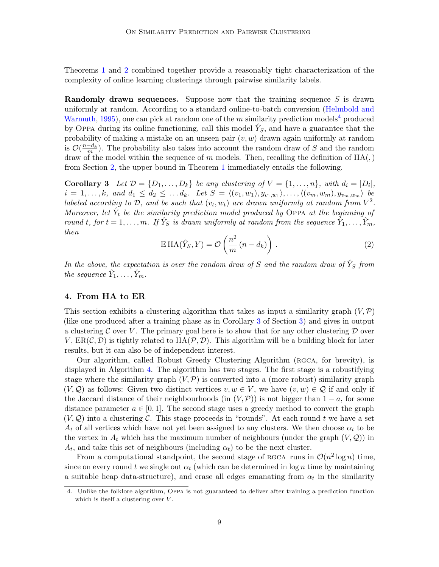Theorems [1](#page-6-1) and [2](#page-6-3) combined together provide a reasonably tight characterization of the complexity of online learning clusterings through pairwise similarity labels.

**Randomly drawn sequences.** Suppose now that the training sequence  $S$  is drawn uniformly at random. According to a standard online-to-batch conversion [\(Helmbold and](#page-13-13) [Warmuth,](#page-13-13) [1995\)](#page-13-13), one can pick at random one of the m similarity prediction models<sup>[4](#page-8-0)</sup> produced by OPPA during its online functioning, call this model  $\hat{Y}_S$ , and have a guarantee that the probability of making a mistake on an unseen pair  $(v, w)$  drawn again uniformly at random is  $\mathcal{O}(\frac{n-d_k}{m})$ . The probability also takes into account the random draw of S and the random draw of the model within the sequence of m models. Then, recalling the definition of  $HA($ ,) from Section [2,](#page-3-0) the upper bound in Theorem [1](#page-6-1) immediately entails the following.

**Corollary 3** Let  $\mathcal{D} = \{D_1, \ldots, D_k\}$  be any clustering of  $V = \{1, \ldots, n\}$ , with  $d_i = |D_i|$ ,  $i = 1, \ldots, k, \text{ and } d_1 \leq d_2 \leq \ldots d_k$ . Let  $S = \langle (v_1, w_1), y_{v_1, w_1} \rangle, \ldots, \langle (v_m, w_m), y_{v_m, w_m} \rangle$  be labeled according to D, and be such that  $(v_t, w_t)$  are drawn uniformly at random from  $V^2$ . Moreover, let  $\hat{Y}_t$  be the similarity prediction model produced by OPPA at the beginning of round t, for  $t = 1, \ldots, m$ . If  $\hat{Y}_S$  is drawn uniformly at random from the sequence  $\hat{Y}_1, \ldots, \hat{Y}_m$ , then

<span id="page-8-1"></span>
$$
\mathbb{E} \operatorname{HA}(\hat{Y}_S, Y) = \mathcal{O}\left(\frac{n^2}{m}(n - d_k)\right). \tag{2}
$$

In the above, the expectation is over the random draw of S and the random draw of  $\hat{Y}_S$  from the sequence  $\hat{Y}_1, \ldots, \hat{Y}_m$ .

#### 4. From HA to ER

This section exhibits a clustering algorithm that takes as input a similarity graph  $(V,\mathcal{P})$ (like one produced after a training phase as in Corollary [3](#page-8-1) of Section [3\)](#page-5-2) and gives in output a clustering C over V. The primary goal here is to show that for any other clustering  $D$  over V,  $ER(\mathcal{C}, \mathcal{D})$  is tightly related to  $HA(\mathcal{P}, \mathcal{D})$ . This algorithm will be a building block for later results, but it can also be of independent interest.

Our algorithm, called Robust Greedy Clustering Algorithm (rgca, for brevity), is displayed in Algorithm [4.](#page-9-0) The algorithm has two stages. The first stage is a robustifying stage where the similarity graph  $(V, \mathcal{P})$  is converted into a (more robust) similarity graph  $(V, \mathcal{Q})$  as follows: Given two distinct vertices  $v, w \in V$ , we have  $(v, w) \in \mathcal{Q}$  if and only if the Jaccard distance of their neighbourhoods (in  $(V,\mathcal{P})$ ) is not bigger than  $1 - a$ , for some distance parameter  $a \in [0, 1]$ . The second stage uses a greedy method to convert the graph  $(V, Q)$  into a clustering C. This stage proceeds in "rounds". At each round t we have a set  $A_t$  of all vertices which have not yet been assigned to any clusters. We then choose  $\alpha_t$  to be the vertex in  $A_t$  which has the maximum number of neighbours (under the graph  $(V, \mathcal{Q})$ ) in  $A_t$ , and take this set of neighbours (including  $\alpha_t$ ) to be the next cluster.

From a computational standpoint, the second stage of RGCA runs in  $\mathcal{O}(n^2 \log n)$  time, since on every round t we single out  $\alpha_t$  (which can be determined in log n time by maintaining a suitable heap data-structure), and erase all edges emanating from  $\alpha_t$  in the similarity

<span id="page-8-0"></span><sup>4.</sup> Unlike the folklore algorithm, Oppa is not guaranteed to deliver after training a prediction function which is itself a clustering over  $V$ .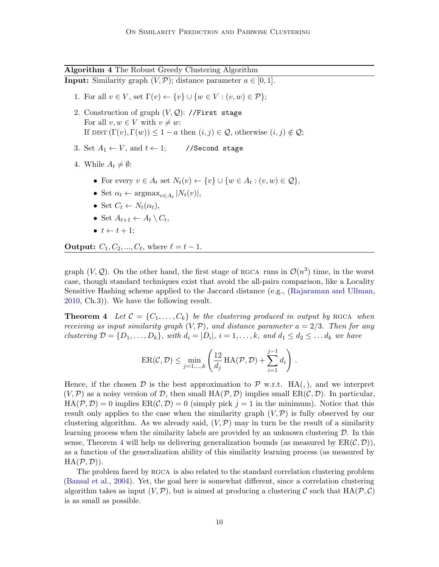<span id="page-9-0"></span>Algorithm 4 The Robust Greedy Clustering Algorithm **Input:** Similarity graph  $(V, \mathcal{P})$ ; distance parameter  $a \in [0, 1]$ .

- 1. For all  $v \in V$ , set  $\Gamma(v) \leftarrow \{v\} \cup \{w \in V : (v, w) \in \mathcal{P}\};$
- 2. Construction of graph  $(V, \mathcal{Q})$ : //First stage For all  $v, w \in V$  with  $v \neq w$ : If DIST  $(\Gamma(v), \Gamma(w)) \leq 1 - a$  then  $(i, j) \in \mathcal{Q}$ , otherwise  $(i, j) \notin \mathcal{Q}$ ;
- 3. Set  $A_1 \leftarrow V$ , and  $t \leftarrow 1$ ; //Second stage
- 4. While  $A_t \neq \emptyset$ :
	- For every  $v \in A_t$  set  $N_t(v) \leftarrow \{v\} \cup \{w \in A_t : (v, w) \in \mathcal{Q}\},\$
	- Set  $\alpha_t \leftarrow \operatorname{argmax}_{v \in A_t} |N_t(v)|$ ,
	- Set  $C_t \leftarrow N_t(\alpha_t)$ ,
	- Set  $A_{t+1} \leftarrow A_t \setminus C_t$ ,
	- $\bullet \ \ t \leftarrow t + 1$ :

**Output:**  $C_1, C_2, ..., C_{\ell}$ , where  $\ell = t - 1$ .

graph  $(V, \mathcal{Q})$ . On the other hand, the first stage of RGCA runs in  $\mathcal{O}(n^3)$  time, in the worst case, though standard techniques exist that avoid the all-pairs comparison, like a Locality Sensitive Hashing scheme applied to the Jaccard distance (e.g., [\(Rajaraman and Ullman,](#page-14-14) [2010,](#page-14-14) Ch.3)). We have the following result.

**Theorem 4** Let  $\mathcal{C} = \{C_1, \ldots, C_k\}$  be the clustering produced in output by RGCA when receiving as input similarity graph  $(V, \mathcal{P})$ , and distance parameter  $a = 2/3$ . Then for any clustering  $\mathcal{D} = \{D_1, \ldots, D_k\}$ , with  $d_i = |D_i|$ ,  $i = 1, \ldots, k$ , and  $d_1 \leq d_2 \leq \ldots d_k$  we have

<span id="page-9-1"></span>
$$
ER(C, \mathcal{D}) \le \min_{j=1,\dots,k} \left( \frac{12}{d_j} HA(\mathcal{P}, \mathcal{D}) + \sum_{i=1}^{j-1} d_i \right).
$$

Hence, if the chosen  $\mathcal D$  is the best approximation to  $\mathcal P$  w.r.t. HA(,), and we interpret  $(V, \mathcal{P})$  as a noisy version of  $\mathcal{D}$ , then small  $HA(\mathcal{P}, \mathcal{D})$  implies small  $ER(\mathcal{C}, \mathcal{D})$ . In particular,  $HA(\mathcal{P}, \mathcal{D}) = 0$  implies  $ER(\mathcal{C}, \mathcal{D}) = 0$  (simply pick  $j = 1$  in the minimum). Notice that this result only applies to the case when the similarity graph  $(V,\mathcal{P})$  is fully observed by our clustering algorithm. As we already said,  $(V,\mathcal{P})$  may in turn be the result of a similarity learning process when the similarity labels are provided by an unknown clustering  $\mathcal{D}$ . In this sense, Theorem [4](#page-9-1) will help us delivering generalization bounds (as measured by  $ER(\mathcal{C}, \mathcal{D})$ ), as a function of the generalization ability of this similarity learning process (as measured by  $HA(\mathcal{P}, \mathcal{D})$ .

The problem faced by RGCA is also related to the standard correlation clustering problem [\(Bansal et al.,](#page-12-3) [2004\)](#page-12-3). Yet, the goal here is somewhat different, since a correlation clustering algorithm takes as input  $(V,\mathcal{P})$ , but is aimed at producing a clustering C such that  $HA(\mathcal{P}, \mathcal{C})$ is as small as possible.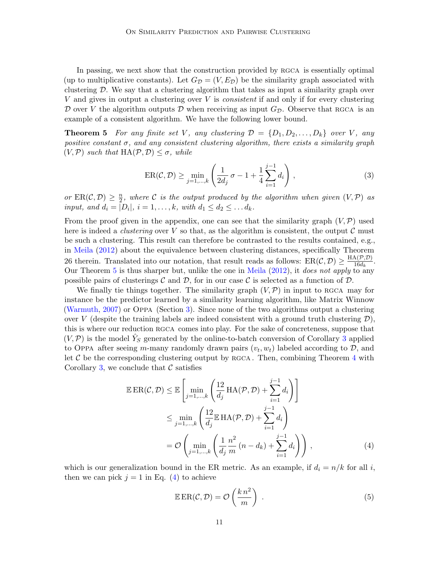In passing, we next show that the construction provided by RGCA is essentially optimal (up to multiplicative constants). Let  $G_{\mathcal{D}} = (V, E_{\mathcal{D}})$  be the similarity graph associated with clustering  $\mathcal{D}$ . We say that a clustering algorithm that takes as input a similarity graph over  $V$  and gives in output a clustering over  $V$  is *consistent* if and only if for every clustering D over V the algorithm outputs D when receiving as input  $G_{\mathcal{D}}$ . Observe that RGCA is an example of a consistent algorithm. We have the following lower bound.

**Theorem 5** For any finite set V, any clustering  $\mathcal{D} = \{D_1, D_2, \ldots, D_k\}$  over V, any positive constant  $\sigma$ , and any consistent clustering algorithm, there exists a similarity graph  $(V,\mathcal{P})$  such that  $HA(\mathcal{P},\mathcal{D}) \leq \sigma$ , while

<span id="page-10-0"></span>
$$
ER(C, \mathcal{D}) \ge \min_{j=1,\dots,k} \left( \frac{1}{2d_j} \sigma - 1 + \frac{1}{4} \sum_{i=1}^{j-1} d_i \right),
$$
\n(3)

or  $ER(\mathcal{C}, \mathcal{D}) \geq \frac{n}{2}$  $\frac{n}{2},$  where  ${\cal C}$  is the output produced by the algorithm when given  $(V,{\cal P})$  as input, and  $d_i = |D_i|$ ,  $i = 1, \ldots, k$ , with  $d_1 \leq d_2 \leq \ldots d_k$ .

From the proof given in the appendix, one can see that the similarity graph  $(V, \mathcal{P})$  used here is indeed a *clustering* over V so that, as the algorithm is consistent, the output  $\mathcal C$  must be such a clustering. This result can therefore be contrasted to the results contained, e.g., in [Meila](#page-14-12) [\(2012\)](#page-14-12) about the equivalence between clustering distances, specifically Theorem 26 therein. Translated into our notation, that result reads as follows:  $ER(C, D) \ge \frac{HA(P, D)}{16d}$  $\frac{\mathbf{A}(\nu,\nu)}{16d_k}$ . Our Theorem [5](#page-10-0) is thus sharper but, unlike the one in [Meila](#page-14-12) [\(2012\)](#page-14-12), it does not apply to any possible pairs of clusterings C and D, for in our case C is selected as a function of D.

We finally tie things together. The similarity graph  $(V,\mathcal{P})$  in input to RGCA may for instance be the predictor learned by a similarity learning algorithm, like Matrix Winnow [\(Warmuth,](#page-14-2) [2007\)](#page-14-2) or Oppa (Section [3\)](#page-5-2). Since none of the two algorithms output a clustering over V (despite the training labels are indeed consistent with a ground truth clustering  $\mathcal{D}$ ), this is where our reduction rgca comes into play. For the sake of concreteness, suppose that  $(V, \mathcal{P})$  is the model  $\hat{Y}_S$  generated by the online-to-batch conversion of Corollary [3](#page-8-1) applied to Oppa after seeing m-many randomly drawn pairs  $(v_t, w_t)$  labeled according to  $\mathcal{D}$ , and let  $\mathcal C$  be the corresponding clustering output by RGCA. Then, combining Theorem [4](#page-9-1) with Corollary [3,](#page-8-1) we conclude that  $\mathcal C$  satisfies

$$
\mathbb{E}\operatorname{ER}(\mathcal{C}, \mathcal{D}) \leq \mathbb{E}\left[\min_{j=1,\dots,k} \left(\frac{12}{d_j}\operatorname{HA}(\mathcal{P}, \mathcal{D}) + \sum_{i=1}^{j-1} d_i\right)\right]
$$
  
\n
$$
\leq \min_{j=1,\dots,k} \left(\frac{12}{d_j}\mathbb{E}\operatorname{HA}(\mathcal{P}, \mathcal{D}) + \sum_{i=1}^{j-1} d_i\right)
$$
  
\n
$$
= \mathcal{O}\left(\min_{j=1,\dots,k} \left(\frac{1}{d_j}\frac{n^2}{m}(n-d_k) + \sum_{i=1}^{j-1} d_i\right)\right),
$$
 (4)

which is our generalization bound in the ER metric. As an example, if  $d_i = n/k$  for all i, then we can pick  $j = 1$  in Eq. [\(4\)](#page-10-1) to achieve

<span id="page-10-2"></span><span id="page-10-1"></span>
$$
\mathbb{E}\operatorname{ER}(\mathcal{C}, \mathcal{D}) = \mathcal{O}\left(\frac{k n^2}{m}\right) . \tag{5}
$$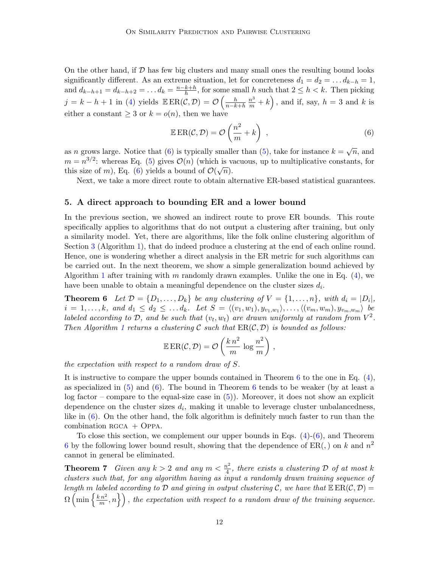On the other hand, if  $D$  has few big clusters and many small ones the resulting bound looks significantly different. As an extreme situation, let for concreteness  $d_1 = d_2 = \dots d_{k-h} = 1$ , and  $d_{k-h+1} = d_{k-h+2} = \ldots d_k = \frac{n-k+h}{h}$  $\frac{k+h}{h}$ , for some small h such that  $2 \leq h \leq k$ . Then picking  $j = k - h + 1$  in [\(4\)](#page-10-1) yields  $\mathbb{E} ER(\mathcal{C}, \mathcal{D}) = \mathcal{O}\left(\frac{h}{n-k+h}\frac{n^3}{m} + k\right)$ , and if, say,  $h = 3$  and k is either a constant  $\geq 3$  or  $k = o(n)$ , then we have

<span id="page-11-0"></span>
$$
\mathbb{E}\operatorname{ER}(\mathcal{C},\mathcal{D})=\mathcal{O}\left(\frac{n^2}{m}+k\right) ,\qquad (6)
$$

as *n* grows large. Notice that [\(6\)](#page-11-0) is typically smaller than [\(5\)](#page-10-2), take for instance  $k = \sqrt{n}$ , and  $m = n^{3/2}$ : whereas Eq. [\(5\)](#page-10-2) gives  $\mathcal{O}(n)$  (which is vacuous, up to multiplicative constants, for this size of m), Eq. [\(6\)](#page-11-0) yields a bound of  $\mathcal{O}(\sqrt{n})$ .

Next, we take a more direct route to obtain alternative ER-based statistical guarantees.

#### 5. A direct approach to bounding ER and a lower bound

In the previous section, we showed an indirect route to prove ER bounds. This route specifically applies to algorithms that do not output a clustering after training, but only a similarity model. Yet, there are algorithms, like the folk online clustering algorithm of Section [3](#page-5-2) (Algorithm [1\)](#page-6-0), that do indeed produce a clustering at the end of each online round. Hence, one is wondering whether a direct analysis in the ER metric for such algorithms can be carried out. In the next theorem, we show a simple generalization bound achieved by Algorithm [1](#page-6-0) after training with m randomly drawn examples. Unlike the one in Eq.  $(4)$ , we have been unable to obtain a meaningful dependence on the cluster sizes  $d_i$ .

**Theorem 6** Let  $\mathcal{D} = \{D_1, \ldots, D_k\}$  be any clustering of  $V = \{1, \ldots, n\}$ , with  $d_i = |D_i|$ ,  $i = 1, \ldots, k, \text{ and } d_1 \leq d_2 \leq \ldots d_k$ . Let  $S = \langle (v_1, w_1), y_{v_1, w_1} \rangle, \ldots, \langle (v_m, w_m), y_{v_m, w_m} \rangle$  be labeled according to D, and be such that  $(v_t, w_t)$  are drawn uniformly at random from  $V^2$ . Then Algorithm [1](#page-6-0) returns a clustering C such that  $ER(C, \mathcal{D})$  is bounded as follows:

<span id="page-11-1"></span>
$$
\mathbb{E}\operatorname{ER}(\mathcal{C},\mathcal{D})=\mathcal{O}\left(\frac{k\,n^2}{m}\,\log\frac{n^2}{m}\right)\,,
$$

the expectation with respect to a random draw of S.

It is instructive to compare the upper bounds contained in Theorem  $6$  to the one in Eq.  $(4)$ , as specialized in  $(5)$  and  $(6)$  $(6)$  $(6)$ . The bound in Theorem 6 tends to be weaker (by at least a log factor – compare to the equal-size case in  $(5)$ ). Moreover, it does not show an explicit dependence on the cluster sizes  $d_i$ , making it unable to leverage cluster unbalancedness, like in [\(6\)](#page-11-0). On the other hand, the folk algorithm is definitely much faster to run than the combination  $RGCA + OPPA$ .

<span id="page-11-2"></span>To close this section, we complement our upper bounds in Eqs.  $(4)-(6)$  $(4)-(6)$ , and Theorem [6](#page-11-1) by the following lower bound result, showing that the dependence of  $ER($ ,  $)$  on  $k$  and  $n^2$ cannot in general be eliminated.

**Theorem 7** Given any  $k > 2$  and any  $m < \frac{n^2}{4}$  $\frac{d^2}{4}$ , there exists a clustering D of at most k clusters such that, for any algorithm having as input a randomly drawn training sequence of length m labeled according to D and giving in output clustering C, we have that  $\mathbb{E} \text{ER}(C, \mathcal{D}) =$  $\Omega\left(\min\left\{\frac{k n^2}{m}\right\}\right)$  $\{ \left\{ \frac{m^2}{m},n \right\} \right)$ , the expectation with respect to a random draw of the training sequence.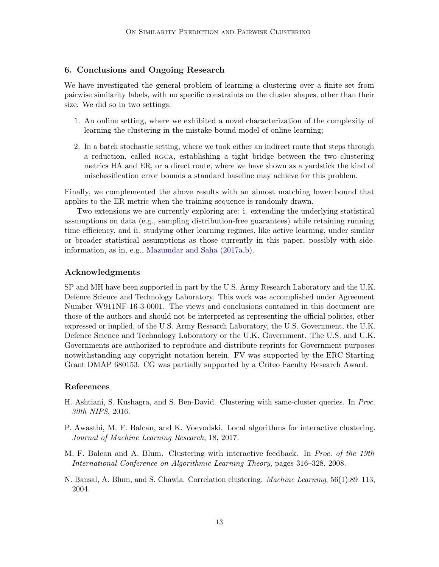# 6. Conclusions and Ongoing Research

We have investigated the general problem of learning a clustering over a finite set from pairwise similarity labels, with no specific constraints on the cluster shapes, other than their size. We did so in two settings:

- 1. An online setting, where we exhibited a novel characterization of the complexity of learning the clustering in the mistake bound model of online learning;
- 2. In a batch stochastic setting, where we took either an indirect route that steps through a reduction, called rgca, establishing a tight bridge between the two clustering metrics HA and ER, or a direct route, where we have shown as a yardstick the kind of misclassification error bounds a standard baseline may achieve for this problem.

Finally, we complemented the above results with an almost matching lower bound that applies to the ER metric when the training sequence is randomly drawn.

Two extensions we are currently exploring are: i. extending the underlying statistical assumptions on data (e.g., sampling distribution-free guarantees) while retaining running time efficiency, and ii. studying other learning regimes, like active learning, under similar or broader statistical assumptions as those currently in this paper, possibly with sideinformation, as in, e.g., [Mazumdar and Saha](#page-14-8) [\(2017a,](#page-14-8)[b\)](#page-14-9).

# Acknowledgments

SP and MH have been supported in part by the U.S. Army Research Laboratory and the U.K. Defence Science and Technology Laboratory. This work was accomplished under Agreement Number W911NF-16-3-0001. The views and conclusions contained in this document are those of the authors and should not be interpreted as representing the official policies, ether expressed or implied, of the U.S. Army Research Laboratory, the U.S. Government, the U.K. Defence Science and Technology Laboratory or the U.K. Government. The U.S. and U.K. Governments are authorized to reproduce and distribute reprints for Government purposes notwithstanding any copyright notation herein. FV was supported by the ERC Starting Grant DMAP 680153. CG was partially supported by a Criteo Faculty Research Award.

### References

- <span id="page-12-2"></span>H. Ashtiani, S. Kushagra, and S. Ben-David. Clustering with same-cluster queries. In Proc. 30th NIPS, 2016.
- <span id="page-12-1"></span>P. Awasthi, M. F. Balcan, and K. Voevodski. Local algorithms for interactive clustering. Journal of Machine Learning Research, 18, 2017.
- <span id="page-12-0"></span>M. F. Balcan and A. Blum. Clustering with interactive feedback. In Proc. of the 19th International Conference on Algorithmic Learning Theory, pages 316–328, 2008.
- <span id="page-12-3"></span>N. Bansal, A. Blum, and S. Chawla. Correlation clustering. Machine Learning, 56(1):89–113, 2004.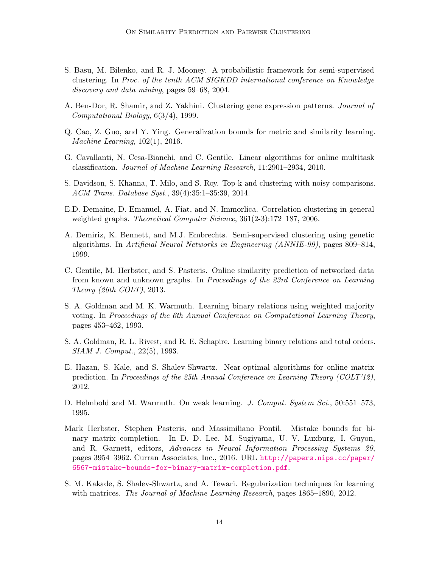- <span id="page-13-10"></span>S. Basu, M. Bilenko, and R. J. Mooney. A probabilistic framework for semi-supervised clustering. In Proc. of the tenth ACM SIGKDD international conference on Knowledge discovery and data mining, pages 59–68, 2004.
- <span id="page-13-8"></span>A. Ben-Dor, R. Shamir, and Z. Yakhini. Clustering gene expression patterns. Journal of Computational Biology, 6(3/4), 1999.
- <span id="page-13-7"></span>Q. Cao, Z. Guo, and Y. Ying. Generalization bounds for metric and similarity learning. Machine Learning, 102(1), 2016.
- <span id="page-13-0"></span>G. Cavallanti, N. Cesa-Bianchi, and C. Gentile. Linear algorithms for online multitask classification. Journal of Machine Learning Research, 11:2901–2934, 2010.
- <span id="page-13-11"></span>S. Davidson, S. Khanna, T. Milo, and S. Roy. Top-k and clustering with noisy comparisons. ACM Trans. Database Syst., 39(4):35:1–35:39, 2014.
- <span id="page-13-12"></span>E.D. Demaine, D. Emanuel, A. Fiat, and N. Immorlica. Correlation clustering in general weighted graphs. *Theoretical Computer Science*,  $361(2-3):172-187$ , 2006.
- <span id="page-13-9"></span>A. Demiriz, K. Bennett, and M.J. Embrechts. Semi-supervised clustering using genetic algorithms. In Artificial Neural Networks in Engineering (ANNIE-99), pages 809–814, 1999.
- <span id="page-13-3"></span>C. Gentile, M. Herbster, and S. Pasteris. Online similarity prediction of networked data from known and unknown graphs. In Proceedings of the 23rd Conference on Learning Theory (26th COLT), 2013.
- <span id="page-13-6"></span>S. A. Goldman and M. K. Warmuth. Learning binary relations using weighted majority voting. In Proceedings of the 6th Annual Conference on Computational Learning Theory, pages 453–462, 1993.
- <span id="page-13-5"></span>S. A. Goldman, R. L. Rivest, and R. E. Schapire. Learning binary relations and total orders. SIAM J. Comput., 22(5), 1993.
- <span id="page-13-2"></span>E. Hazan, S. Kale, and S. Shalev-Shwartz. Near-optimal algorithms for online matrix prediction. In Proceedings of the 25th Annual Conference on Learning Theory (COLT'12), 2012.
- <span id="page-13-13"></span>D. Helmbold and M. Warmuth. On weak learning. J. Comput. System Sci., 50:551–573, 1995.
- <span id="page-13-4"></span>Mark Herbster, Stephen Pasteris, and Massimiliano Pontil. Mistake bounds for binary matrix completion. In D. D. Lee, M. Sugiyama, U. V. Luxburg, I. Guyon, and R. Garnett, editors, Advances in Neural Information Processing Systems 29, pages 3954–3962. Curran Associates, Inc., 2016. URL [http://papers.nips.cc/paper/](http://papers.nips.cc/paper/6567-mistake-bounds-for-binary-matrix-completion.pdf) [6567-mistake-bounds-for-binary-matrix-completion.pdf](http://papers.nips.cc/paper/6567-mistake-bounds-for-binary-matrix-completion.pdf).
- <span id="page-13-1"></span>S. M. Kakade, S. Shalev-Shwartz, and A. Tewari. Regularization techniques for learning with matrices. The Journal of Machine Learning Research, pages 1865–1890, 2012.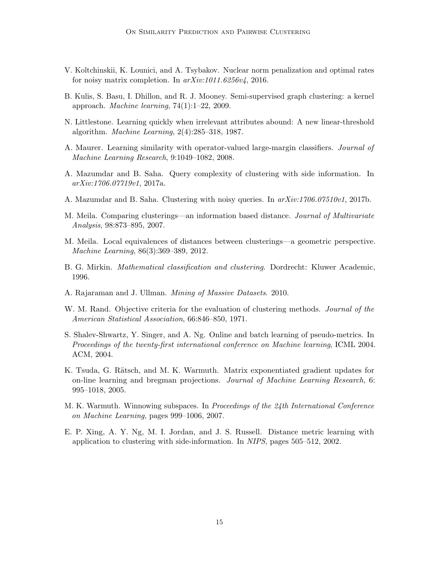- <span id="page-14-6"></span>V. Koltchinskii, K. Lounici, and A. Tsybakov. Nuclear norm penalization and optimal rates for noisy matrix completion. In arXiv:1011.6256v4, 2016.
- <span id="page-14-7"></span>B. Kulis, S. Basu, I. Dhillon, and R. J. Mooney. Semi-supervised graph clustering: a kernel approach. *Machine learning*,  $74(1):1-22$ , 2009.
- <span id="page-14-0"></span>N. Littlestone. Learning quickly when irrelevant attributes abound: A new linear-threshold algorithm. Machine Learning, 2(4):285–318, 1987.
- <span id="page-14-5"></span>A. Maurer. Learning similarity with operator-valued large-margin classifiers. Journal of Machine Learning Research, 9:1049–1082, 2008.
- <span id="page-14-8"></span>A. Mazumdar and B. Saha. Query complexity of clustering with side information. In arXiv:1706.07719v1, 2017a.
- <span id="page-14-9"></span>A. Mazumdar and B. Saha. Clustering with noisy queries. In  $arXiv:1706.07510v1$ , 2017b.
- <span id="page-14-13"></span>M. Meila. Comparing clusterings—an information based distance. *Journal of Multivariate* Analysis, 98:873–895, 2007.
- <span id="page-14-12"></span>M. Meila. Local equivalences of distances between clusterings—a geometric perspective. Machine Learning, 86(3):369–389, 2012.
- <span id="page-14-10"></span>B. G. Mirkin. Mathematical classification and clustering. Dordrecht: Kluwer Academic, 1996.
- <span id="page-14-14"></span>A. Rajaraman and J. Ullman. Mining of Massive Datasets. 2010.
- <span id="page-14-11"></span>W. M. Rand. Objective criteria for the evaluation of clustering methods. *Journal of the* American Statistical Association, 66:846–850, 1971.
- <span id="page-14-4"></span>S. Shalev-Shwartz, Y. Singer, and A. Ng. Online and batch learning of pseudo-metrics. In Proceedings of the twenty-first international conference on Machine learning, ICML 2004. ACM, 2004.
- <span id="page-14-1"></span>K. Tsuda, G. Rätsch, and M. K. Warmuth. Matrix exponentiated gradient updates for on-line learning and bregman projections. Journal of Machine Learning Research, 6: 995–1018, 2005.
- <span id="page-14-2"></span>M. K. Warmuth. Winnowing subspaces. In Proceedings of the 24th International Conference on Machine Learning, pages 999–1006, 2007.
- <span id="page-14-3"></span>E. P. Xing, A. Y. Ng, M. I. Jordan, and J. S. Russell. Distance metric learning with application to clustering with side-information. In NIPS, pages 505–512, 2002.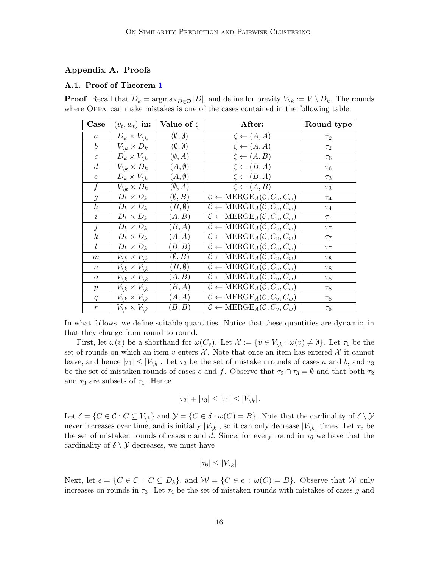# Appendix A. Proofs

#### A.1. Proof of Theorem [1](#page-6-1)

**Proof** Recall that  $D_k = \operatorname{argmax}_{D \in \mathcal{D}} |D|$ , and define for brevity  $V_{\setminus k} := V \setminus D_k$ . The rounds where Oppa can make mistakes is one of the cases contained in the following table.

| Case             | $(v_t, w_t)$ in:                           | Value of $\zeta$         | After:                                                                    | Round type |
|------------------|--------------------------------------------|--------------------------|---------------------------------------------------------------------------|------------|
| $\boldsymbol{a}$ | $D_k \times V_{\backslash k}$              | $(\emptyset, \emptyset)$ | $\zeta \leftarrow (A, A)$                                                 | $\tau_2$   |
| $\boldsymbol{b}$ | $V_{\backslash k} \times D_k$              | $(\emptyset, \emptyset)$ | $\zeta \leftarrow (A, A)$                                                 | $\tau_2$   |
| $\boldsymbol{c}$ | $\overline{D}_k\times V_{\backslash k}$    | $(\emptyset, A)$         | $\zeta \leftarrow (A, B)$                                                 | $\tau_6$   |
| $\boldsymbol{d}$ | $V_{\backslash k} \times D_k$              | $(A, \emptyset)$         | $\zeta \leftarrow (B, A)$                                                 | $\tau_6$   |
| $\boldsymbol{e}$ | $D_k \times V_{\backslash k}$              | $(A, \emptyset)$         | $\zeta \leftarrow (B, A)$                                                 | $\tau_3$   |
| $\mathbf{f}$     | $V_{\backslash k} \times D_k$              | $(\emptyset, A)$         | $\overline{\zeta} \leftarrow (A, B)$                                      | $\tau_3$   |
| $\mathfrak{g}$   | $D_k \times D_k$                           | $(\emptyset, B)$         | $\mathcal{C} \leftarrow \text{MERGE}_A(\mathcal{C}, C_v, C_w)$            | $\tau_4$   |
| $\boldsymbol{h}$ | $D_k \times D_k$                           | $(B, \emptyset)$         | $C \leftarrow \text{MERGE}_A(C, C_v, C_w)$                                | $\tau_4$   |
| $\dot{i}$        | $D_k \times D_k$                           | (A, B)                   | $C \leftarrow \text{MERGE}_A(C, C_v, C_w)$                                | $\tau_7$   |
| $\dot{j}$        | $D_k \times D_k$                           | (B, A)                   | $\overline{C} \leftarrow \text{MERGE}_A(C, C_v, C_w)$                     | $\tau$     |
| $\boldsymbol{k}$ | $D_k \times D_k$                           | (A, A)                   | $C \leftarrow \text{MERGE}_A(C, C_v, C_w)$                                | $\tau_7$   |
| l                | $D_k \times D_k$                           | (B,B)                    | $C \leftarrow \text{MERGE}_A(C, C_v, C_w)$                                | $\tau_7$   |
| $\,m$            | $V_{\backslash k} \times V_{\backslash k}$ | $(\emptyset, B)$         | $\overline{\mathcal{C}} \leftarrow \text{MERGE}_A(\mathcal{C}, C_v, C_w)$ | $\tau_8$   |
| $\,n$            | $V_{\backslash k} \times V_{\backslash k}$ | $(B, \emptyset)$         | $\overline{C} \leftarrow \text{MERGE}_A(\mathcal{C}, C_v, C_w)$           | $\tau_8$   |
| $\boldsymbol{o}$ | $V_{\backslash k} \times V_{\backslash k}$ | (A, B)                   | $\overline{\mathcal{C}} \leftarrow \text{MERGE}_A(\mathcal{C}, C_v, C_w)$ | $\tau_8$   |
| $\boldsymbol{p}$ | $V_{\backslash k} \times V_{\backslash k}$ | (B,A)                    | $\overline{\mathcal{C} \leftarrow \text{MERGE}_A(\mathcal{C}, C_v, C_w)}$ | $\tau_8$   |
| q                | $V_{\backslash k} \times V_{\backslash k}$ | (A, A)                   | $C \leftarrow \text{MERGE}_A(C, C_v, C_w)$                                | $\tau_8$   |
| $\boldsymbol{r}$ | $V_{\backslash k} \times V_{\backslash k}$ | (B,B)                    | $\overline{\mathcal{C}} \leftarrow \text{MERGE}_A(\mathcal{C}, C_v, C_w)$ | $\tau_8$   |

In what follows, we define suitable quantities. Notice that these quantities are dynamic, in that they change from round to round.

First, let  $\omega(v)$  be a shorthand for  $\omega(C_v)$ . Let  $\mathcal{X} := \{v \in V_{\setminus k} : \omega(v) \neq \emptyset\}$ . Let  $\tau_1$  be the set of rounds on which an item v enters  $\mathcal{X}$ . Note that once an item has entered  $\mathcal{X}$  it cannot leave, and hence  $|\tau_1| \leq |V_{\backslash k}|$ . Let  $\tau_2$  be the set of mistaken rounds of cases a and b, and  $\tau_3$ be the set of mistaken rounds of cases e and f. Observe that  $\tau_2 \cap \tau_3 = \emptyset$  and that both  $\tau_2$ and  $\tau_3$  are subsets of  $\tau_1$ . Hence

$$
|\tau_2|+|\tau_3|\leq |\tau_1|\leq |V_{\backslash k}|.
$$

Let  $\delta = \{C \in \mathcal{C} : C \subseteq V_{\backslash k}\}\$ and  $\mathcal{Y} = \{C \in \delta : \omega(C) = B\}$ . Note that the cardinality of  $\delta \setminus \mathcal{Y}$ never increases over time, and is initially  $|V_{\setminus k}|$ , so it can only decrease  $|V_{\setminus k}|$  times. Let  $\tau_6$  be the set of mistaken rounds of cases c and d. Since, for every round in  $\tau_6$  we have that the cardinality of  $\delta \setminus \mathcal{Y}$  decreases, we must have

$$
|\tau_6| \le |V_{\backslash k}|.
$$

Next, let  $\epsilon = \{C \in \mathcal{C} : C \subseteq D_k\}$ , and  $\mathcal{W} = \{C \in \epsilon : \omega(C) = B\}$ . Observe that W only increases on rounds in  $\tau_3$ . Let  $\tau_4$  be the set of mistaken rounds with mistakes of cases g and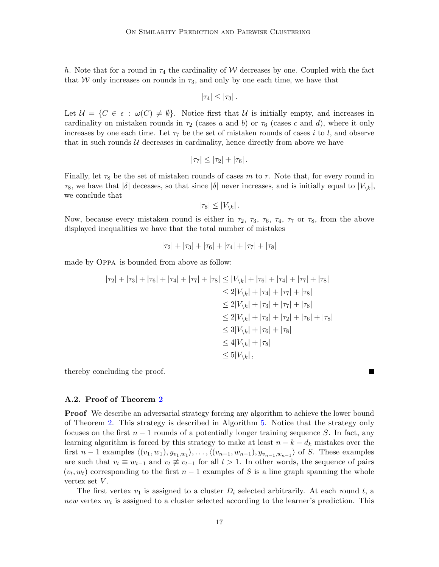h. Note that for a round in  $\tau_4$  the cardinality of W decreases by one. Coupled with the fact that W only increases on rounds in  $\tau_3$ , and only by one each time, we have that

$$
|\tau_4|\leq |\tau_3|.
$$

Let  $\mathcal{U} = \{C \in \epsilon : \omega(C) \neq \emptyset\}$ . Notice first that U is initially empty, and increases in cardinality on mistaken rounds in  $\tau_2$  (cases a and b) or  $\tau_6$  (cases c and d), where it only increases by one each time. Let  $\tau_7$  be the set of mistaken rounds of cases i to l, and observe that in such rounds  $U$  decreases in cardinality, hence directly from above we have

$$
|\tau_7|\leq |\tau_2|+|\tau_6|.
$$

Finally, let  $\tau_8$  be the set of mistaken rounds of cases m to r. Note that, for every round in  $\tau_8$ , we have that  $|\delta|$  deceases, so that since  $|\delta|$  never increases, and is initially equal to  $|V_{\setminus k}|$ , we conclude that

$$
|\tau_8| \leq |V_{\backslash k}|.
$$

Now, because every mistaken round is either in  $\tau_2$ ,  $\tau_3$ ,  $\tau_6$ ,  $\tau_4$ ,  $\tau_7$  or  $\tau_8$ , from the above displayed inequalities we have that the total number of mistakes

$$
|\tau_2| + |\tau_3| + |\tau_6| + |\tau_4| + |\tau_7| + |\tau_8|
$$

made by Oppa is bounded from above as follow:

$$
|\tau_2| + |\tau_3| + |\tau_6| + |\tau_4| + |\tau_7| + |\tau_8| \le |V_{\backslash k}| + |\tau_6| + |\tau_4| + |\tau_7| + |\tau_8|
$$
  
\n
$$
\le 2|V_{\backslash k}| + |\tau_4| + |\tau_7| + |\tau_8|
$$
  
\n
$$
\le 2|V_{\backslash k}| + |\tau_3| + |\tau_7| + |\tau_8|
$$
  
\n
$$
\le 2|V_{\backslash k}| + |\tau_3| + |\tau_2| + |\tau_6| + |\tau_8|
$$
  
\n
$$
\le 3|V_{\backslash k}| + |\tau_6| + |\tau_8|
$$
  
\n
$$
\le 4|V_{\backslash k}| + |\tau_8|
$$
  
\n
$$
\le 5|V_{\backslash k}|,
$$

thereby concluding the proof.

## A.2. Proof of Theorem [2](#page-6-3)

**Proof** We describe an adversarial strategy forcing any algorithm to achieve the lower bound of Theorem [2.](#page-6-3) This strategy is described in Algorithm [5.](#page-17-0) Notice that the strategy only focuses on the first  $n-1$  rounds of a potentially longer training sequence S. In fact, any learning algorithm is forced by this strategy to make at least  $n - k - d_k$  mistakes over the first  $n-1$  examples  $\langle (v_1, w_1), y_{v_1, w_1} \rangle, \ldots, \langle (v_{n-1}, w_{n-1}), y_{v_{n-1}, w_{n-1}} \rangle$  of S. These examples are such that  $v_t \equiv w_{t-1}$  and  $v_t \not\equiv v_{t-1}$  for all  $t > 1$ . In other words, the sequence of pairs  $(v_t, w_t)$  corresponding to the first  $n - 1$  examples of S is a line graph spanning the whole vertex set  $V$ .

The first vertex  $v_1$  is assigned to a cluster  $D_i$  selected arbitrarily. At each round t, a new vertex  $w_t$  is assigned to a cluster selected according to the learner's prediction. This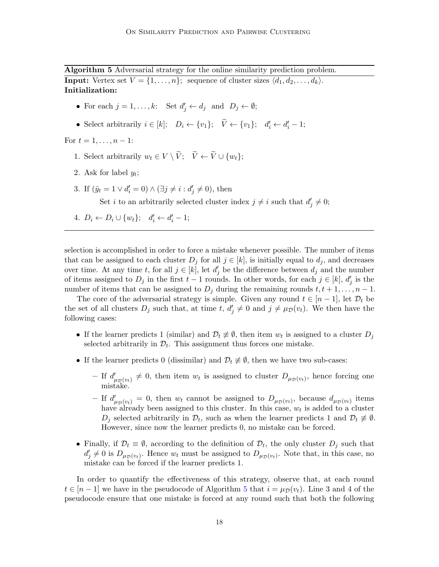<span id="page-17-0"></span>Algorithm 5 Adversarial strategy for the online similarity prediction problem. **Input:** Vertex set  $V = \{1, \ldots, n\}$ ; sequence of cluster sizes  $\langle d_1, d_2, \ldots, d_k \rangle$ . Initialization:

- For each  $j = 1, ..., k$ : Set  $d'_j \leftarrow d_j$  and  $D_j \leftarrow \emptyset$ ;
- Select arbitrarily  $i \in [k]$ ;  $D_i \leftarrow \{v_1\}$ ;  $\tilde{V} \leftarrow \{v_1\}$ ;  $d'_i \leftarrow d'_i 1$ ;

For  $t = 1, \ldots, n - 1$ :

- 1. Select arbitrarily  $w_t \in V \setminus \widetilde{V}$ ;  $\widetilde{V} \leftarrow \widetilde{V} \cup \{w_t\}$ ;
- 2. Ask for label  $y_t$ ;
- 3. If  $(\hat{y}_t = 1 \lor d'_i = 0) \land (\exists j \neq i : d'_j \neq 0)$ , then

Set *i* to an arbitrarily selected cluster index  $j \neq i$  such that  $d'_{j} \neq 0$ ;

4.  $D_i \leftarrow D_i \cup \{w_t\}; \quad d'_i \leftarrow d'_i - 1;$ 

selection is accomplished in order to force a mistake whenever possible. The number of items that can be assigned to each cluster  $D_j$  for all  $j \in [k]$ , is initially equal to  $d_j$ , and decreases over time. At any time t, for all  $j \in [k]$ , let  $d'_j$  be the difference between  $d_j$  and the number of items assigned to  $D_j$  in the first  $t-1$  rounds. In other words, for each  $j \in [k]$ ,  $d'_j$  is the number of items that can be assigned to  $D_i$  during the remaining rounds  $t, t+1, \ldots, n-1$ .

The core of the adversarial strategy is simple. Given any round  $t \in [n-1]$ , let  $\mathcal{D}_t$  be the set of all clusters  $D_j$  such that, at time t,  $d'_j \neq 0$  and  $j \neq \mu_{\mathcal{D}}(v_t)$ . We then have the following cases:

- If the learner predicts 1 (similar) and  $\mathcal{D}_t \neq \emptyset$ , then item  $w_t$  is assigned to a cluster  $D_j$ selected arbitrarily in  $\mathcal{D}_t$ . This assignment thus forces one mistake.
- If the learner predicts 0 (dissimilar) and  $\mathcal{D}_t \neq \emptyset$ , then we have two sub-cases:
	- If  $d'_{\mu_{\mathcal{D}}(v_t)} \neq 0$ , then item  $w_t$  is assigned to cluster  $D_{\mu_{\mathcal{D}}(v_t)}$ , hence forcing one mistake.
	- If  $d'_{\mu_{\mathcal{D}}(v_t)} = 0$ , then  $w_t$  cannot be assigned to  $D_{\mu_{\mathcal{D}}(v_t)}$ , because  $d_{\mu_{\mathcal{D}}(v_t)}$  items have already been assigned to this cluster. In this case,  $w_t$  is added to a cluster  $D_j$  selected arbitrarily in  $\mathcal{D}_t$ , such as when the learner predicts 1 and  $\mathcal{D}_t \neq \emptyset$ . However, since now the learner predicts 0, no mistake can be forced.
- Finally, if  $\mathcal{D}_t \equiv \emptyset$ , according to the definition of  $\mathcal{D}_t$ , the only cluster  $D_j$  such that  $d'_j \neq 0$  is  $D_{\mu_D(v_t)}$ . Hence  $w_t$  must be assigned to  $D_{\mu_D(v_t)}$ . Note that, in this case, no mistake can be forced if the learner predicts 1.

In order to quantify the effectiveness of this strategy, observe that, at each round  $t \in [n-1]$  we have in the pseudocode of Algorithm [5](#page-17-0) that  $i = \mu_{\mathcal{D}}(v_t)$ . Line 3 and 4 of the pseudocode ensure that one mistake is forced at any round such that both the following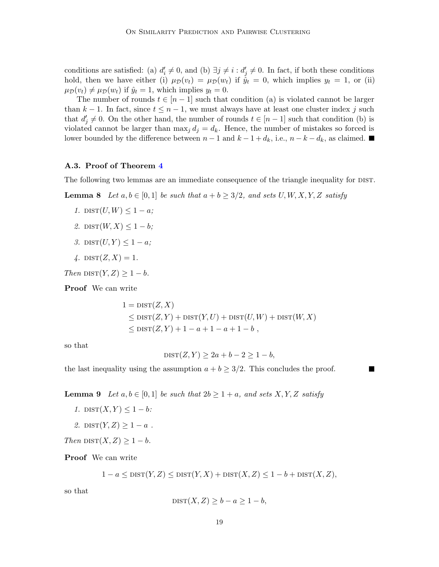conditions are satisfied: (a)  $d'_i \neq 0$ , and (b)  $\exists j \neq i : d'_j \neq 0$ . In fact, if both these conditions hold, then we have either (i)  $\mu_{\mathcal{D}}(v_t) = \mu_{\mathcal{D}}(w_t)$  if  $\hat{y}_t = 0$ , which implies  $y_t = 1$ , or (ii)  $\mu_{\mathcal{D}}(v_t) \neq \mu_{\mathcal{D}}(w_t)$  if  $\hat{y}_t = 1$ , which implies  $y_t = 0$ .

The number of rounds  $t \in [n-1]$  such that condition (a) is violated cannot be larger than  $k - 1$ . In fact, since  $t \leq n - 1$ , we must always have at least one cluster index j such that  $d'_j \neq 0$ . On the other hand, the number of rounds  $t \in [n-1]$  such that condition (b) is violated cannot be larger than  $\max_j d_j = d_k$ . Hence, the number of mistakes so forced is lower bounded by the difference between  $n-1$  and  $k-1+d_k$ , i.e.,  $n-k-d_k$ , as claimed. ■

## A.3. Proof of Theorem [4](#page-9-1)

The following two lemmas are an immediate consequence of the triangle inequality for DIST.

**Lemma 8** Let  $a, b \in [0, 1]$  be such that  $a + b \geq 3/2$ , and sets  $U, W, X, Y, Z$  satisfy

- 1.  $\text{DIST}(U, W) \leq 1 a;$
- 2.  $\text{DIST}(W, X) \leq 1 b;$
- 3.  $\text{DIST}(U, Y) \leq 1 a;$
- 4.  $\text{DIST}(Z, X) = 1$ .

Then  $\text{dist}(Y, Z) \geq 1 - b$ .

Proof We can write

$$
1 = \text{DIST}(Z, X)
$$
  
\n
$$
\leq \text{DIST}(Z, Y) + \text{DIST}(Y, U) + \text{DIST}(U, W) + \text{DIST}(W, X)
$$
  
\n
$$
\leq \text{DIST}(Z, Y) + 1 - a + 1 - a + 1 - b,
$$

so that

<span id="page-18-0"></span>
$$
\text{DIST}(Z, Y) \ge 2a + b - 2 \ge 1 - b,
$$

the last inequality using the assumption  $a + b \geq 3/2$ . This concludes the proof.

<span id="page-18-1"></span>**Lemma 9** Let  $a, b \in [0, 1]$  be such that  $2b \geq 1 + a$ , and sets X, Y, Z satisfy

- 1.  $\text{DIST}(X, Y) \leq 1 b$ :
- 2.  $\text{DIST}(Y, Z) \geq 1 a$ .

Then  $\text{DIST}(X, Z) \geq 1 - b$ .

Proof We can write

$$
1 - a \le \text{dist}(Y, Z) \le \text{dist}(Y, X) + \text{dist}(X, Z) \le 1 - b + \text{dist}(X, Z),
$$

so that

$$
\text{DIST}(X, Z) \ge b - a \ge 1 - b,
$$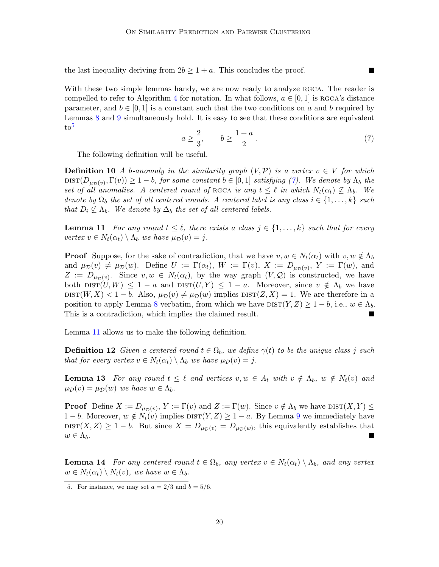the last inequality deriving from  $2b \geq 1 + a$ . This concludes the proof.

With these two simple lemmas handy, we are now ready to analyze RGCA. The reader is compelled to refer to Algorithm [4](#page-9-0) for notation. In what follows,  $a \in [0,1]$  is RGCA's distance parameter, and  $b \in [0, 1]$  is a constant such that the two conditions on a and b required by Lemmas [8](#page-18-0) and [9](#page-18-1) simultaneously hold. It is easy to see that these conditions are equivalent  $to^5$  $to^5$ 

<span id="page-19-1"></span>
$$
a \ge \frac{2}{3}, \qquad b \ge \frac{1+a}{2} \,. \tag{7}
$$

**The Second Service** 

The following definition will be useful.

**Definition 10** A b-anomaly in the similarity graph  $(V, \mathcal{P})$  is a vertex  $v \in V$  for which  $\text{dist}(D_{\mu_{\mathcal{D}}(v)}, \Gamma(v)) \geq 1-b$ , for some constant  $b \in [0,1]$  satisfying [\(7\)](#page-19-1). We denote by  $\Lambda_b$  the set of all anomalies. A centered round of RGCA is any  $t \leq \ell$  in which  $N_t(\alpha_t) \nsubseteqq \Lambda_b$ . We denote by  $\Omega_b$  the set of all centered rounds. A centered label is any class  $i \in \{1, \ldots, k\}$  such that  $D_i \nsubseteq \Lambda_b$ . We denote by  $\Delta_b$  the set of all centered labels.

<span id="page-19-2"></span>**Lemma 11** For any round  $t \leq \ell$ , there exists a class  $j \in \{1, ..., k\}$  such that for every vertex  $v \in N_t(\alpha_t) \setminus \Lambda_b$  we have  $\mu_{\mathcal{D}}(v) = j$ .

**Proof** Suppose, for the sake of contradiction, that we have  $v, w \in N_t(\alpha_t)$  with  $v, w \notin \Lambda_b$ and  $\mu_{\mathcal{D}}(v) \neq \mu_{\mathcal{D}}(w)$ . Define  $U := \Gamma(\alpha_t)$ ,  $W := \Gamma(v)$ ,  $X := D_{\mu_{\mathcal{D}}(v)}$ ,  $Y := \Gamma(w)$ , and  $Z := D_{\mu_D(v)}$ . Since  $v, w \in N_t(\alpha_t)$ , by the way graph  $(V, \mathcal{Q})$  is constructed, we have both  $\text{dist}(U, W) \leq 1 - a$  and  $\text{dist}(U, Y) \leq 1 - a$ . Moreover, since  $v \notin \Lambda_b$  we have  $dist(W, X) < 1 - b$ . Also,  $\mu_{\mathcal{D}}(v) \neq \mu_{\mathcal{D}}(w)$  implies  $dist(Z, X) = 1$ . We are therefore in a position to apply Lemma [8](#page-18-0) verbatim, from which we have  $\text{DIST}(Y, Z) \geq 1 - b$ , i.e.,  $w \in \Lambda_b$ . This is a contradiction, which implies the claimed result. П

Lemma [11](#page-19-2) allows us to make the following definition.

**Definition 12** Given a centered round  $t \in \Omega_b$ , we define  $\gamma(t)$  to be the unique class j such that for every vertex  $v \in N_t(\alpha_t) \setminus \Lambda_b$  we have  $\mu_{\mathcal{D}}(v) = j$ .

<span id="page-19-3"></span>**Lemma 13** For any round  $t \leq \ell$  and vertices  $v, w \in A_t$  with  $v \notin \Lambda_b$ ,  $w \notin N_t(v)$  and  $\mu_{\mathcal{D}}(v) = \mu_{\mathcal{D}}(w)$  we have  $w \in \Lambda_b$ .

**Proof** Define  $X := D_{\mu_D(v)}, Y := \Gamma(v)$  and  $Z := \Gamma(w)$ . Since  $v \notin \Lambda_b$  we have  $\text{dist}(X, Y) \leq$  $1 - b$ . Moreover,  $w \notin N_t(v)$  implies  $\text{DIST}(Y, Z) \geq 1 - a$ . By Lemma [9](#page-18-1) we immediately have DIST $(X, Z) \geq 1 - b$ . But since  $X = D_{\mu_{\mathcal{D}}(v)} = D_{\mu_{\mathcal{D}}(w)}$ , this equivalently establishes that  $w \in \Lambda_b$ .

<span id="page-19-4"></span>**Lemma 14** For any centered round  $t \in \Omega_b$ , any vertex  $v \in N_t(\alpha_t) \setminus \Lambda_b$ , and any vertex  $w \in N_t(\alpha_t) \setminus N_t(v)$ , we have  $w \in \Lambda_b$ .

<span id="page-19-0"></span><sup>5.</sup> For instance, we may set  $a = 2/3$  and  $b = 5/6$ .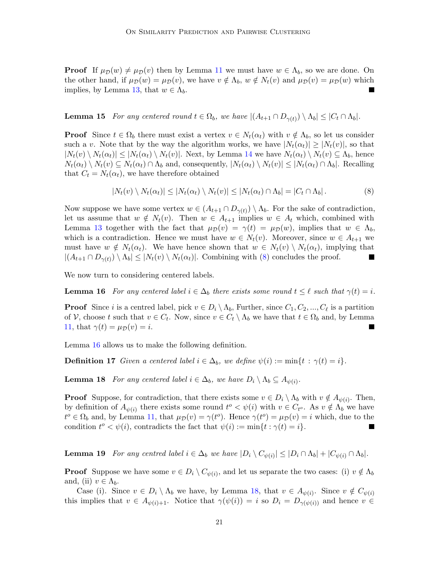**Proof** If  $\mu_{\mathcal{D}}(w) \neq \mu_{\mathcal{D}}(v)$  then by Lemma [11](#page-19-2) we must have  $w \in \Lambda_b$ , so we are done. On the other hand, if  $\mu_{\mathcal{D}}(w) = \mu_{\mathcal{D}}(v)$ , we have  $v \notin \Lambda_b$ ,  $w \notin N_t(v)$  and  $\mu_{\mathcal{D}}(v) = \mu_{\mathcal{D}}(w)$  which implies, by Lemma [13,](#page-19-3) that  $w \in \Lambda_b$ .

<span id="page-20-3"></span>**Lemma 15** For any centered round  $t \in \Omega_b$ , we have  $|(A_{t+1} \cap D_{\gamma(t)}) \setminus \Lambda_b| \leq |C_t \cap \Lambda_b|$ .

**Proof** Since  $t \in \Omega_b$  there must exist a vertex  $v \in N_t(\alpha_t)$  with  $v \notin \Lambda_b$ , so let us consider such a v. Note that by the way the algorithm works, we have  $|N_t(\alpha_t)| \geq |N_t(v)|$ , so that  $|N_t(v) \setminus N_t(\alpha_t)| \leq |N_t(\alpha_t) \setminus N_t(v)|$ . Next, by Lemma [14](#page-19-4) we have  $N_t(\alpha_t) \setminus N_t(v) \subseteq \Lambda_b$ , hence  $N_t(\alpha_t) \setminus N_t(v) \subseteq N_t(\alpha_t) \cap \Lambda_b$  and, consequently,  $|N_t(\alpha_t) \setminus N_t(v)| \leq |N_t(\alpha_t) \cap \Lambda_b|$ . Recalling that  $C_t = N_t(\alpha_t)$ , we have therefore obtained

<span id="page-20-1"></span><span id="page-20-0"></span>
$$
|N_t(v) \setminus N_t(\alpha_t)| \leq |N_t(\alpha_t) \setminus N_t(v)| \leq |N_t(\alpha_t) \cap \Lambda_b| = |C_t \cap \Lambda_b|.
$$
 (8)

Now suppose we have some vertex  $w \in (A_{t+1} \cap D_{\gamma(t)}) \setminus \Lambda_b$ . For the sake of contradiction, let us assume that  $w \notin N_t(v)$ . Then  $w \in A_{t+1}$  implies  $w \in A_t$  which, combined with Lemma [13](#page-19-3) together with the fact that  $\mu_{\mathcal{D}}(v) = \gamma(t) = \mu_{\mathcal{D}}(w)$ , implies that  $w \in \Lambda_b$ , which is a contradiction. Hence we must have  $w \in N_t(v)$ . Moreover, since  $w \in A_{t+1}$  we must have  $w \notin N_t(\alpha_t)$ . We have hence shown that  $w \in N_t(v) \setminus N_t(\alpha_t)$ , implying that  $|(A_{t+1} \cap D_{\gamma(t)}) \setminus \Lambda_b| \leq |N_t(v) \setminus N_t(\alpha_t)|$ . Combining with [\(8\)](#page-20-0) concludes the proof.

We now turn to considering centered labels.

**Lemma 16** For any centered label  $i \in \Delta_b$  there exists some round  $t \leq \ell$  such that  $\gamma(t) = i$ .

**Proof** Since *i* is a centred label, pick  $v \in D_i \setminus \Lambda_b$ , Further, since  $C_1, C_2, ..., C_\ell$  is a partition of V, choose t such that  $v \in C_t$ . Now, since  $v \in C_t \setminus \Lambda_b$  we have that  $t \in \Omega_b$  and, by Lemma [11,](#page-19-2) that  $\gamma(t) = \mu_{\mathcal{D}}(v) = i$ .

Lemma [16](#page-20-1) allows us to make the following definition.

**Definition 17** Given a centered label  $i \in \Delta_b$ , we define  $\psi(i) := \min\{t : \gamma(t) = i\}.$ 

<span id="page-20-2"></span>**Lemma 18** For any centered label  $i \in \Delta_b$ , we have  $D_i \setminus \Lambda_b \subseteq A_{\psi(i)}$ .

**Proof** Suppose, for contradiction, that there exists some  $v \in D_i \setminus \Lambda_b$  with  $v \notin A_{\psi(i)}$ . Then, by definition of  $A_{\psi(i)}$  there exists some round  $t^o \langle \psi(i) \rangle$  with  $v \in C_{t^o}$ . As  $v \notin \Lambda_b$  we have  $t^o \in \Omega_b$  and, by Lemma [11,](#page-19-2) that  $\mu_{\mathcal{D}}(v) = \gamma(t^o)$ . Hence  $\gamma(t^o) = \mu_{\mathcal{D}}(v) = i$  which, due to the condition  $t^o < \psi(i)$ , contradicts the fact that  $\psi(i) := \min\{t : \gamma(t) = i\}.$ 

<span id="page-20-4"></span>**Lemma 19** For any centred label  $i \in \Delta_b$  we have  $|D_i \setminus C_{\psi(i)}| \leq |D_i \cap \Lambda_b| + |C_{\psi(i)} \cap \Lambda_b|$ .

**Proof** Suppose we have some  $v \in D_i \setminus C_{\psi(i)}$ , and let us separate the two cases: (i)  $v \notin \Lambda_b$ and, (ii)  $v \in \Lambda_b$ .

Case (i). Since  $v \in D_i \setminus \Lambda_b$  we have, by Lemma [18,](#page-20-2) that  $v \in A_{\psi(i)}$ . Since  $v \notin C_{\psi(i)}$ this implies that  $v \in A_{\psi(i)+1}$ . Notice that  $\gamma(\psi(i)) = i$  so  $D_i = D_{\gamma(\psi(i))}$  and hence  $v \in$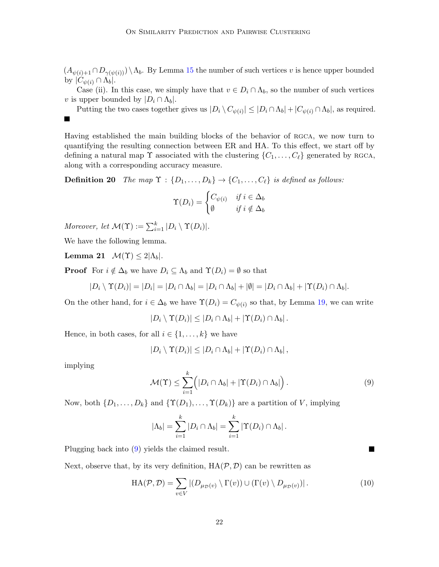$(A_{\psi(i)+1} \cap D_{\gamma(\psi(i))}) \setminus \Lambda_b$ . By Lemma [15](#page-20-3) the number of such vertices v is hence upper bounded by  $|C_{\psi(i)} \cap \Lambda_b|$ .

Case (ii). In this case, we simply have that  $v \in D_i \cap \Lambda_b$ , so the number of such vertices v is upper bounded by  $|D_i \cap \Lambda_b|$ .

Putting the two cases together gives us  $|D_i \setminus C_{\psi(i)}| \leq |D_i \cap \Lambda_b| + |C_{\psi(i)} \cap \Lambda_b|$ , as required.

Having established the main building blocks of the behavior of RGCA, we now turn to quantifying the resulting connection between ER and HA. To this effect, we start off by defining a natural map  $\Upsilon$  associated with the clustering  $\{C_1, \ldots, C_\ell\}$  generated by RGCA, along with a corresponding accuracy measure.

**Definition 20** The map  $\Upsilon$  :  $\{D_1, \ldots, D_k\} \rightarrow \{C_1, \ldots, C_\ell\}$  is defined as follows:

<span id="page-21-4"></span><span id="page-21-3"></span>
$$
\Upsilon(D_i) = \begin{cases} C_{\psi(i)} & \text{if } i \in \Delta_b \\ \emptyset & \text{if } i \notin \Delta_b \end{cases}
$$

Moreover, let  $\mathcal{M}(\Upsilon) := \sum_{i=1}^{k} |D_i \setminus \Upsilon(D_i)|$ .

We have the following lemma.

Lemma 21  $\mathcal{M}(\Upsilon) \leq 2|\Lambda_b|$ .

**Proof** For  $i \notin \Delta_b$  we have  $D_i \subseteq \Lambda_b$  and  $\Upsilon(D_i) = \emptyset$  so that

$$
|D_i \setminus \Upsilon(D_i)| = |D_i| = |D_i \cap \Lambda_b| = |D_i \cap \Lambda_b| + |\emptyset| = |D_i \cap \Lambda_b| + |\Upsilon(D_i) \cap \Lambda_b|.
$$

On the other hand, for  $i \in \Delta_b$  we have  $\Upsilon(D_i) = C_{\psi(i)}$  so that, by Lemma [19,](#page-20-4) we can write

 $|D_i \setminus \Upsilon(D_i)| \leq |D_i \cap \Lambda_b| + |\Upsilon(D_i) \cap \Lambda_b|.$ 

Hence, in both cases, for all  $i \in \{1, \ldots, k\}$  we have

$$
|D_i \setminus \Upsilon(D_i)| \leq |D_i \cap \Lambda_b| + |\Upsilon(D_i) \cap \Lambda_b|,
$$

implying

 $\blacksquare$ 

<span id="page-21-0"></span>
$$
\mathcal{M}(\Upsilon) \leq \sum_{i=1}^{k} \Big( |D_i \cap \Lambda_b| + |\Upsilon(D_i) \cap \Lambda_b| \Big) . \tag{9}
$$

П

Now, both  $\{D_1, \ldots, D_k\}$  and  $\{\Upsilon(D_1), \ldots, \Upsilon(D_k)\}\$  are a partition of V, implying

$$
|\Lambda_b| = \sum_{i=1}^k |D_i \cap \Lambda_b| = \sum_{i=1}^k |\Upsilon(D_i) \cap \Lambda_b|.
$$

Plugging back into [\(9\)](#page-21-0) yields the claimed result.

<span id="page-21-2"></span>Next, observe that, by its very definition,  $HA(\mathcal{P}, \mathcal{D})$  can be rewritten as

<span id="page-21-1"></span>
$$
HA(\mathcal{P}, \mathcal{D}) = \sum_{v \in V} |(D_{\mu_{\mathcal{D}}(v)} \setminus \Gamma(v)) \cup (\Gamma(v) \setminus D_{\mu_{\mathcal{D}}(v)})|.
$$
\n(10)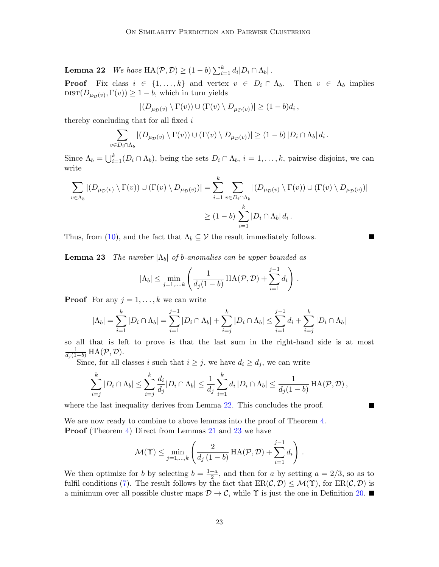**Lemma 22** We have  $HA(\mathcal{P}, \mathcal{D}) \geq (1-b) \sum_{i=1}^{k} d_i |D_i \cap \Lambda_b|$ .

**Proof** Fix class  $i \in \{1, ..., k\}$  and vertex  $v \in D_i \cap \Lambda_b$ . Then  $v \in \Lambda_b$  implies  $dist(D_{\mu_D(v)}, \Gamma(v)) \geq 1 - b$ , which in turn yields

$$
|(D_{\mu_{\mathcal{D}}(v)} \setminus \Gamma(v)) \cup (\Gamma(v) \setminus D_{\mu_{\mathcal{D}}(v)})| \geq (1-b)d_i,
$$

thereby concluding that for all fixed i

$$
\sum_{v \in D_i \cap \Lambda_b} |(D_{\mu_{\mathcal{D}}(v)} \setminus \Gamma(v)) \cup (\Gamma(v) \setminus D_{\mu_{\mathcal{D}}(v)})| \ge (1-b) |D_i \cap \Lambda_b| d_i.
$$

Since  $\Lambda_b = \bigcup_{i=1}^k (D_i \cap \Lambda_b)$ , being the sets  $D_i \cap \Lambda_b$ ,  $i = 1, \ldots, k$ , pairwise disjoint, we can write

$$
\sum_{v \in \Lambda_b} |(D_{\mu_{\mathcal{D}}(v)} \setminus \Gamma(v)) \cup (\Gamma(v) \setminus D_{\mu_{\mathcal{D}}(v)})| = \sum_{i=1}^k \sum_{v \in D_i \cap \Lambda_b} |(D_{\mu_{\mathcal{D}}(v)} \setminus \Gamma(v)) \cup (\Gamma(v) \setminus D_{\mu_{\mathcal{D}}(v)})|
$$
  

$$
\geq (1-b) \sum_{i=1}^k |D_i \cap \Lambda_b| d_i.
$$

Thus, from [\(10\)](#page-21-1), and the fact that  $\Lambda_b \subseteq \mathcal{V}$  the result immediately follows.

<span id="page-22-0"></span>**Lemma 23** The number  $|\Lambda_b|$  of b-anomalies can be upper bounded as

$$
|\Lambda_b| \leq \min_{j=1,\dots,k} \left( \frac{1}{d_j(1-b)} \operatorname{HA}(\mathcal{P}, \mathcal{D}) + \sum_{i=1}^{j-1} d_i \right).
$$

**Proof** For any  $j = 1, \ldots, k$  we can write

$$
|\Lambda_b| = \sum_{i=1}^k |D_i \cap \Lambda_b| = \sum_{i=1}^{j-1} |D_i \cap \Lambda_b| + \sum_{i=j}^k |D_i \cap \Lambda_b| \le \sum_{i=1}^{j-1} d_i + \sum_{i=j}^k |D_i \cap \Lambda_b|
$$

so all that is left to prove is that the last sum in the right-hand side is at most  $\frac{1}{d_j(1-b)}\text{HA}(\mathcal{P},\mathcal{D}).$ 

Since, for all classes i such that  $i \geq j$ , we have  $d_i \geq d_j$ , we can write

$$
\sum_{i=j}^k |D_i \cap \Lambda_b| \leq \sum_{i=j}^k \frac{d_i}{d_j} |D_i \cap \Lambda_b| \leq \frac{1}{d_j} \sum_{i=1}^k d_i |D_i \cap \Lambda_b| \leq \frac{1}{d_j(1-b)} \operatorname{HA}(\mathcal{P}, \mathcal{D}),
$$

**The Second** 

where the last inequality derives from Lemma [22.](#page-21-2) This concludes the proof.

We are now ready to combine to above lemmas into the proof of Theorem [4.](#page-9-1) **Proof** (Theorem [4\)](#page-9-1) Direct from Lemmas [21](#page-21-3) and [23](#page-22-0) we have

$$
\mathcal{M}(\Upsilon) \leq \min_{j=1,\dots,k} \left( \frac{2}{d_j (1-b)} \operatorname{HA}(\mathcal{P}, \mathcal{D}) + \sum_{i=1}^{j-1} d_i \right).
$$

We then optimize for b by selecting  $b = \frac{1+a}{2}$  $\frac{+a}{2}$ , and then for a by setting  $a = 2/3$ , so as to fulfil conditions [\(7\)](#page-19-1). The result follows by the fact that  $ER(\mathcal{C}, \mathcal{D}) \leq \mathcal{M}(\Upsilon)$ , for  $ER(\mathcal{C}, \mathcal{D})$  is a minimum over all possible cluster maps  $\mathcal{D} \to \mathcal{C}$ , while  $\Upsilon$  is just the one in Definition [20.](#page-21-4)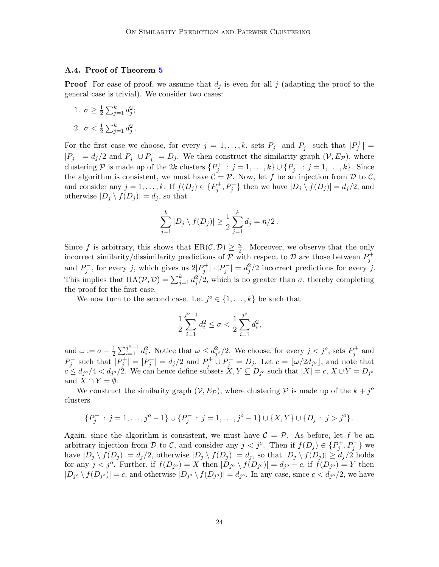#### A.4. Proof of Theorem [5](#page-10-0)

**Proof** For ease of proof, we assume that  $d_j$  is even for all j (adapting the proof to the general case is trivial). We consider two cases:

1.  $\sigma \geq \frac{1}{2}$  $\frac{1}{2}\sum_{j=1}^{k}d_{j}^{2};$ 2.  $\sigma < \frac{1}{2} \sum_{j=1}^{k} d_j^2$ .

For the first case we choose, for every  $j = 1, ..., k$ , sets  $P_j^+$  and  $P_j^-$  such that  $|P_j^+|$  =  $|P_j^-| = d_j/2$  and  $P_j^+ \cup P_j^- = D_j$ . We then construct the similarity graph  $(\mathcal{V}, E_{\mathcal{P}})$ , where clustering P is made up of the 2k clusters  $\{P_j^+ : j = 1, ..., k\} \cup \{P_j^- : j = 1, ..., k\}$ . Since the algorithm is consistent, we must have  $\mathcal{C} = \mathcal{P}$ . Now, let f be an injection from  $\mathcal D$  to  $\mathcal C$ , and consider any  $j = 1, ..., k$ . If  $f(D_j) \in \{P_j^+, P_j^-\}$  then we have  $|D_j \setminus f(D_j)| = d_j/2$ , and otherwise  $|D_j \setminus f(D_j)| = d_j$ , so that

$$
\sum_{j=1}^{k} |D_j \setminus f(D_j)| \ge \frac{1}{2} \sum_{j=1}^{k} d_j = n/2.
$$

Since f is arbitrary, this shows that  $ER(\mathcal{C}, \mathcal{D}) \geq \frac{n}{2}$  $\frac{n}{2}$ . Moreover, we observe that the only incorrect similarity/dissimilarity predictions of  $P$  with respect to  $D$  are those between  $P_j^+$ and  $P_j^-$ , for every j, which gives us  $2|P_j^+| \cdot |P_j^-| = d_j^2/2$  incorrect predictions for every j. This implies that  $HA(\mathcal{P}, \mathcal{D}) = \sum_{j=1}^{k} d_j^2/2$ , which is no greater than  $\sigma$ , thereby completing the proof for the first case.

We now turn to the second case. Let  $j^o \in \{1, ..., k\}$  be such that

$$
\frac{1}{2}\sum_{i=1}^{j^o-1}d_i^2 \le \sigma < \frac{1}{2}\sum_{i=1}^{j^o}d_i^2,
$$

and  $\omega := \sigma - \frac{1}{2}$  $\frac{1}{2}\sum_{i=1}^{j^o-1}d_i^2$ . Notice that  $\omega \leq d_{j^o}^2/2$ . We choose, for every  $j < j^o$ , sets  $P_j^+$  and  $P_j^-$  such that  $|P_j^+| = |P_j^-| = d_j/2$  and  $P_j^+ \cup P_j^- = D_j$ . Let  $c = \lfloor \omega/2d_{j^o} \rfloor$ , and note that  $c \le d_{j}$  /  $4 < d_{j}$  /  $2$ . We can hence define subsets  $X, Y \subseteq D_{j}$  such that  $|X| = c$ ,  $X \cup Y = D_{j}$ and  $X \cap Y = \emptyset$ .

We construct the similarity graph  $(V, E_{\mathcal{P}})$ , where clustering  $\mathcal P$  is made up of the  $k + j^{\circ}$ clusters

$$
\{P_j^+ : j = 1, \ldots, j^o - 1\} \cup \{P_j^- : j = 1, \ldots, j^o - 1\} \cup \{X, Y\} \cup \{D_j : j > j^o\}.
$$

Again, since the algorithm is consistent, we must have  $\mathcal{C} = \mathcal{P}$ . As before, let f be an arbitrary injection from D to C, and consider any  $j < j^o$ . Then if  $f(D_j) \in \{P_j^+, P_j^-\}$  we have  $|D_j \setminus f(D_j)| = d_j/2$ , otherwise  $|D_j \setminus f(D_j)| = d_j$ , so that  $|D_j \setminus f(D_j)| \ge d_j/2$  holds for any  $j < j^o$ . Further, if  $f(D_{j^o}) = X$  then  $|D_{j^o} \setminus f(D_{j^o})| = d_{j^o} - c$ , if  $f(D_{j^o}) = Y$  then  $|D_{j} \circ f(D_{j} \circ)| = c$ , and otherwise  $|D_{j} \circ f(D_{j} \circ)| = d_{j} \circ$ . In any case, since  $c < d_{j} \circ/2$ , we have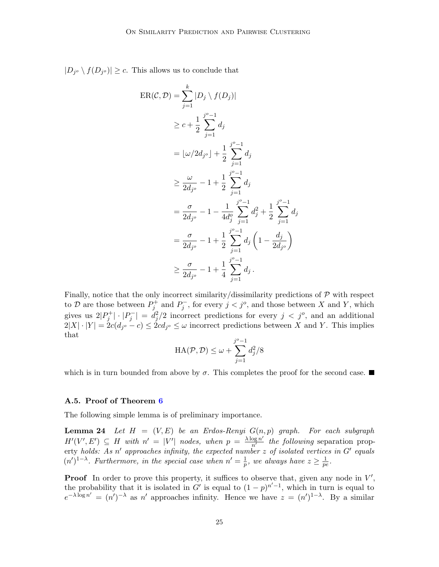$|D_{j^o} \setminus f(D_{j^o})| \geq c$ . This allows us to conclude that

$$
\begin{split} \text{ER}(\mathcal{C}, \mathcal{D}) &= \sum_{j=1}^{k} |D_j \setminus f(D_j)| \\ &\geq c + \frac{1}{2} \sum_{j=1}^{j^o - 1} d_j \\ &= \lfloor \omega / 2d_{j^o} \rfloor + \frac{1}{2} \sum_{j=1}^{j^o - 1} d_j \\ &\geq \frac{\omega}{2d_{j^o}} - 1 + \frac{1}{2} \sum_{j=1}^{j^o - 1} d_j \\ &= \frac{\sigma}{2d_{j^o}} - 1 - \frac{1}{4d_j^o} \sum_{j=1}^{j^o - 1} d_j^2 + \frac{1}{2} \sum_{j=1}^{j^o - 1} d_j \\ &= \frac{\sigma}{2d_{j^o}} - 1 + \frac{1}{2} \sum_{j=1}^{j^o - 1} d_j \left( 1 - \frac{d_j}{2d_{j^o}} \right) \\ &\geq \frac{\sigma}{2d_{j^o}} - 1 + \frac{1}{4} \sum_{j=1}^{j^o - 1} d_j \end{split}
$$

Finally, notice that the only incorrect similarity/dissimilarity predictions of  $P$  with respect to D are those between  $P_j^+$  and  $P_j^-$ , for every  $j < j^o$ , and those between X and Y, which gives us  $2|P_j^+| \cdot |P_j^-| = d_j^2/2$  incorrect predictions for every  $j < j^o$ , and an additional  $2|X| \cdot |Y| = 2c(d_{j^o} - c) \leq 2cd_{j^o} \leq \omega$  incorrect predictions between X and Y. This implies that

<span id="page-24-0"></span>
$$
\text{HA}(\mathcal{P}, \mathcal{D}) \le \omega + \sum_{j=1}^{j^o - 1} d_j^2 / 8
$$

which is in turn bounded from above by  $\sigma$ . This completes the proof for the second case.

#### A.5. Proof of Theorem [6](#page-11-1)

The following simple lemma is of preliminary importance.

**Lemma 24** Let  $H = (V, E)$  be an Erdos-Renyi  $G(n, p)$  graph. For each subgraph  $H'(V', E') \subseteq H$  with  $n' = |V'|$  nodes, when  $p = \frac{\lambda \log n'}{n'}$  the following separation property holds: As n' approaches infinity, the expected number z of isolated vertices in  $G'$  equals  $(n')^{1-\lambda}$ . Furthermore, in the special case when  $n' = \frac{1}{n}$  $\frac{1}{p}$ , we always have  $z \geq \frac{1}{pe}$  $\frac{1}{pe}.$ 

**Proof** In order to prove this property, it suffices to observe that, given any node in  $V'$ , the probability that it is isolated in G' is equal to  $(1-p)^{n'-1}$ , which in turn is equal to  $e^{-\lambda \log n'} = (n')^{-\lambda}$  as n' approaches infinity. Hence we have  $z = (n')^{1-\lambda}$ . By a similar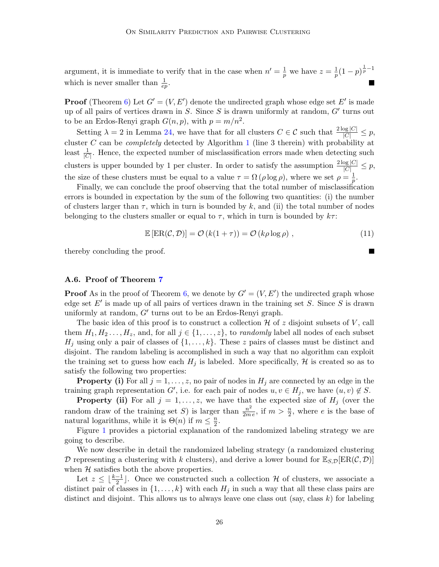argument, it is immediate to verify that in the case when  $n' = \frac{1}{n}$  $\frac{1}{p}$  we have  $z=\frac{1}{p}$  $\frac{1}{p}(1-p)^{\frac{1}{p}-1}$ which is never smaller than  $\frac{1}{ep}$ .

**Proof** (Theorem [6\)](#page-11-1) Let  $G' = (V, E')$  denote the undirected graph whose edge set E' is made up of all pairs of vertices drawn in S. Since S is drawn uniformly at random,  $G'$  turns out to be an Erdos-Renyi graph  $G(n, p)$ , with  $p = m/n^2$ .

Setting  $\lambda = 2$  in Lemma [24,](#page-24-0) we have that for all clusters  $C \in \mathcal{C}$  such that  $\frac{2 \log |C|}{|C|} \leq p$ , cluster  $C$  can be *completely* detected by Algorithm [1](#page-6-0) (line 3 therein) with probability at least  $\frac{1}{|C|}$ . Hence, the expected number of misclassification errors made when detecting such clusters is upper bounded by 1 per cluster. In order to satisfy the assumption  $\frac{2 \log |C|}{|C|} \leq p$ , the size of these clusters must be equal to a value  $\tau = \Omega(\rho \log \rho)$ , where we set  $\rho = \frac{1}{n}$  $\frac{1}{p}$  .

Finally, we can conclude the proof observing that the total number of misclassification errors is bounded in expectation by the sum of the following two quantities: (i) the number of clusters larger than  $\tau$ , which in turn is bounded by k, and (ii) the total number of nodes belonging to the clusters smaller or equal to  $\tau$ , which in turn is bounded by  $k\tau$ :

$$
\mathbb{E}\left[\text{ER}(\mathcal{C}, \mathcal{D})\right] = \mathcal{O}\left(k(1+\tau)\right) = \mathcal{O}\left(k\rho\log\rho\right),\tag{11}
$$

thereby concluding the proof.

#### A.6. Proof of Theorem [7](#page-11-2)

**Proof** As in the proof of Theorem [6,](#page-11-1) we denote by  $G' = (V, E')$  the undirected graph whose edge set  $E'$  is made up of all pairs of vertices drawn in the training set  $S$ . Since  $S$  is drawn uniformly at random,  $G'$  turns out to be an Erdos-Renyi graph.

The basic idea of this proof is to construct a collection  $\mathcal H$  of z disjoint subsets of V, call them  $H_1, H_2, \ldots, H_z$ , and, for all  $j \in \{1, \ldots, z\}$ , to *randomly* label all nodes of each subset  $H_j$  using only a pair of classes of  $\{1, \ldots, k\}$ . These z pairs of classes must be distinct and disjoint. The random labeling is accomplished in such a way that no algorithm can exploit the training set to guess how each  $H_j$  is labeled. More specifically,  $H$  is created so as to satisfy the following two properties:

**Property (i)** For all  $j = 1, \ldots, z$ , no pair of nodes in  $H_j$  are connected by an edge in the training graph representation G', i.e. for each pair of nodes  $u, v \in H_j$ , we have  $(u, v) \notin S$ .

**Property (ii)** For all  $j = 1, \ldots, z$ , we have that the expected size of  $H_j$  (over the random draw of the training set S) is larger than  $\frac{n^2}{2m}$  $\frac{n^2}{2me}$ , if  $m > \frac{n}{2}$ , where *e* is the base of natural logarithms, while it is  $\Theta(n)$  if  $m \leq \frac{n}{2}$  $\frac{n}{2}$ .

Figure [1](#page-26-0) provides a pictorial explanation of the randomized labeling strategy we are going to describe.

We now describe in detail the randomized labeling strategy (a randomized clustering D representing a clustering with k clusters), and derive a lower bound for  $\mathbb{E}_{S,D}[\text{ER}(\mathcal{C}, \mathcal{D})]$ when  $H$  satisfies both the above properties.

Let  $z \leq \lfloor \frac{k-1}{2} \rfloor$ . Once we constructed such a collection H of clusters, we associate a distinct pair of classes in  $\{1, \ldots, k\}$  with each  $H_j$  in such a way that all these class pairs are distinct and disjoint. This allows us to always leave one class out (say, class  $k$ ) for labeling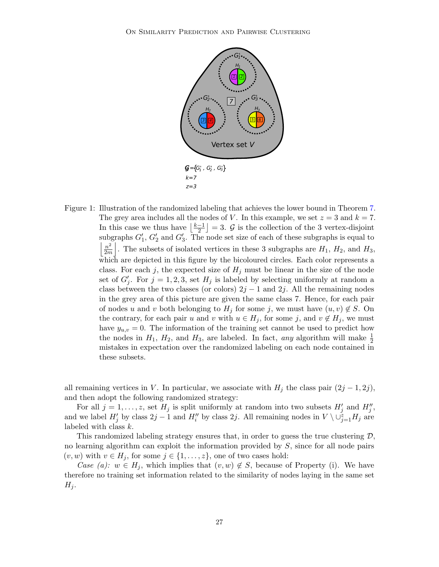

<span id="page-26-0"></span>Figure 1: Illustration of the randomized labeling that achieves the lower bound in Theorem [7.](#page-11-2) The grey area includes all the nodes of V. In this example, we set  $z = 3$  and  $k = 7$ . In this case we thus have  $\frac{k-1}{2}$  $\left[\frac{-1}{2}\right] = 3.$  G is the collection of the 3 vertex-disjoint subgraphs  $G'_1$ ,  $G'_2$  and  $G'_3$ . The node set size of each of these subgraphs is equal to  $\left| \frac{n^2}{2} \right|$  $\frac{n^2}{2m}$ . The subsets of isolated vertices in these 3 subgraphs are  $H_1$ ,  $H_2$ , and  $H_3$ , which are depicted in this figure by the bicoloured circles. Each color represents a class. For each j, the expected size of  $H_j$  must be linear in the size of the node set of  $G'_j$ . For  $j = 1, 2, 3$ , set  $H_j$  is labeled by selecting uniformly at random a class between the two classes (or colors)  $2j - 1$  and  $2j$ . All the remaining nodes in the grey area of this picture are given the same class 7. Hence, for each pair of nodes u and v both belonging to  $H_j$  for some j, we must have  $(u, v) \notin S$ . On the contrary, for each pair u and v with  $u \in H_j$ , for some j, and  $v \notin H_j$ , we must have  $y_{u,v} = 0$ . The information of the training set cannot be used to predict how the nodes in  $H_1$ ,  $H_2$ , and  $H_3$ , are labeled. In fact, any algorithm will make  $\frac{1}{2}$ mistakes in expectation over the randomized labeling on each node contained in these subsets.

all remaining vertices in V. In particular, we associate with  $H_j$  the class pair  $(2j-1, 2j)$ , and then adopt the following randomized strategy:

For all  $j = 1, \ldots, z$ , set  $H_j$  is split uniformly at random into two subsets  $H'_j$  and  $H''_j$ , and we label  $H'_j$  by class  $2j-1$  and  $H''_i$  by class  $2j$ . All remaining nodes in  $V \setminus \cup_{j=1}^z H_j$  are labeled with class k.

This randomized labeling strategy ensures that, in order to guess the true clustering  $\mathcal{D}$ , no learning algorithm can exploit the information provided by  $S$ , since for all node pairs  $(v, w)$  with  $v \in H_j$ , for some  $j \in \{1, \ldots, z\}$ , one of two cases hold:

Case (a):  $w \in H_j$ , which implies that  $(v, w) \notin S$ , because of Property (i). We have therefore no training set information related to the similarity of nodes laying in the same set  $H_j$ .